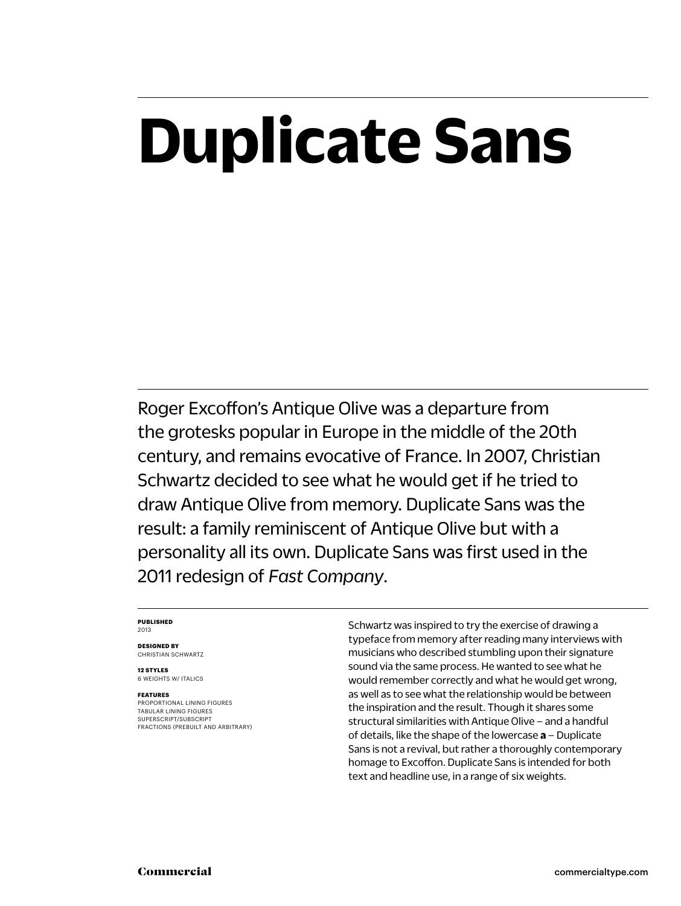# **Duplicate Sans**

Roger Excoffon's Antique Olive was a departure from the grotesks popular in Europe in the middle of the 20th century, and remains evocative of France. In 2007, Christian Schwartz decided to see what he would get if he tried to draw Antique Olive from memory. Duplicate Sans was the result: a family reminiscent of Antique Olive but with a personality all its own. Duplicate Sans was first used in the 2011 redesign of *Fast Company*.

#### **PUBLISHED** 2013

**DESIGNED BY** CHRISTIAN SCHWARTZ

**12 STYLES** 6 WEIGHTS W/ ITALICS

#### **FEATURES**

PROPORTIONAL LINING FIGURES TABULAR LINING FIGURES SUPERSCRIPT/SUBSCRIPT FRACTIONS (PREBUILT AND ARBITRARY) Schwartz was inspired to try the exercise of drawing a typeface from memory after reading many interviews with musicians who described stumbling upon their signature sound via the same process. He wanted to see what he would remember correctly and what he would get wrong, as well as to see what the relationship would be between the inspiration and the result. Though it shares some structural similarities with Antique Olive – and a handful of details, like the shape of the lowercase **a** – Duplicate Sans is not a revival, but rather a thoroughly contemporary homage to Excoffon. Duplicate Sans is intended for both text and headline use, in a range of six weights.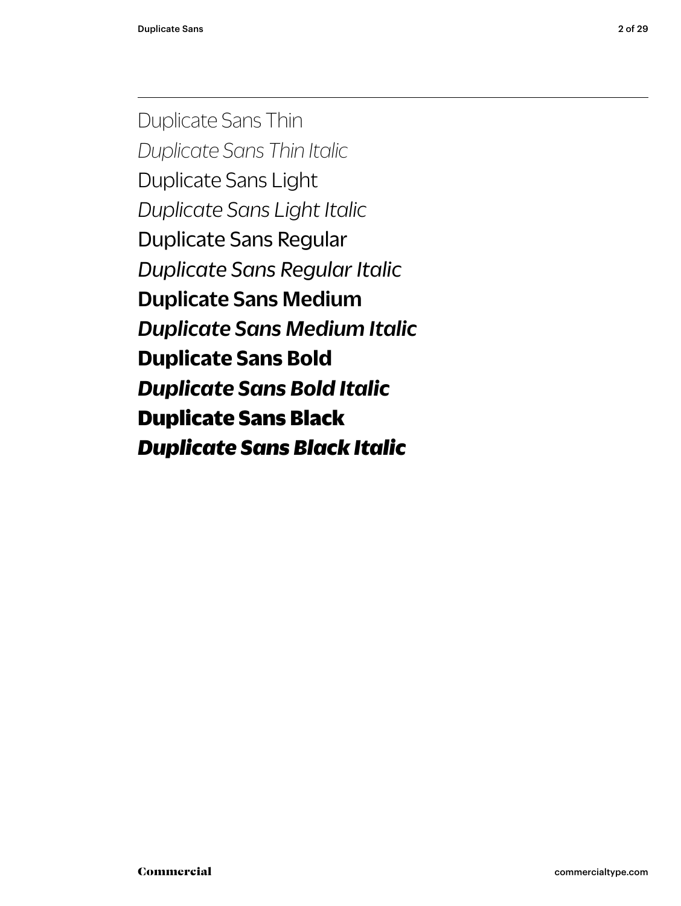Duplicate Sans Thin *Duplicate Sans Thin Italic* Duplicate Sans Light *Duplicate Sans Light Italic* Duplicate Sans Regular *Duplicate Sans Regular Italic* Duplicate Sans Medium *Duplicate Sans Medium Italic* **Duplicate Sans Bold** *Duplicate Sans Bold Italic* Duplicate Sans Black *Duplicate Sans Black Italic*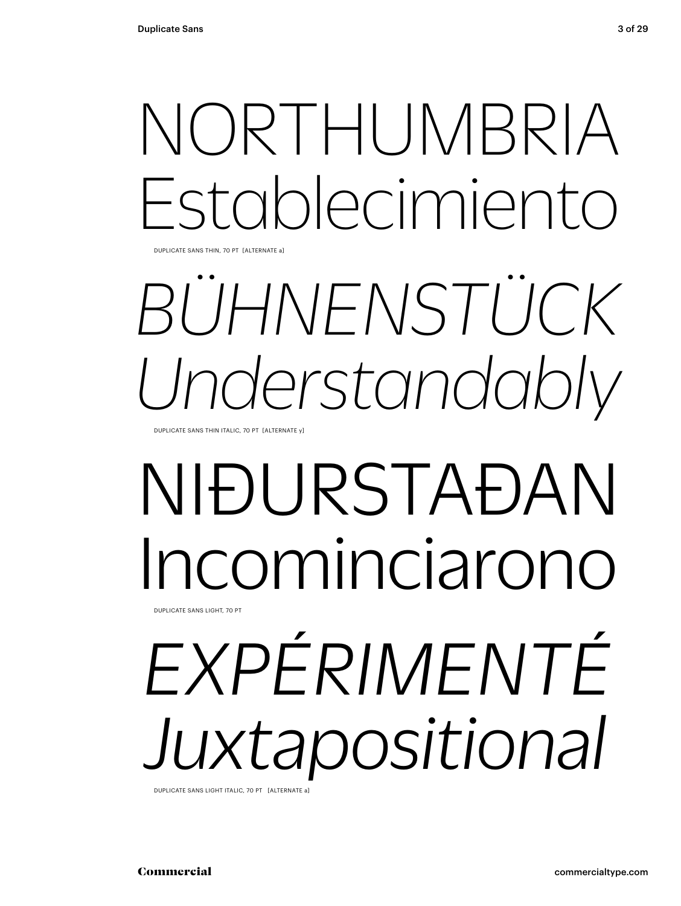# NORTHUMBRIA Establecimiento

DUPLICATE SANS THIN, 70 PT [ALTERNATE a]

# *BÜHNENSTÜCK Understandably*

DUPLICATE SANS THIN ITALIC, 70 PT [ALTERNATE y]

## NIÐURSTAÐAN cominciarono DUPLICATE SANS LIGHT, 70 PT

# *EXPÉRIMENTÉ Juxtapositional*

DUPLICATE SANS LIGHT ITALIC, 70 PT [ALTERNATE a]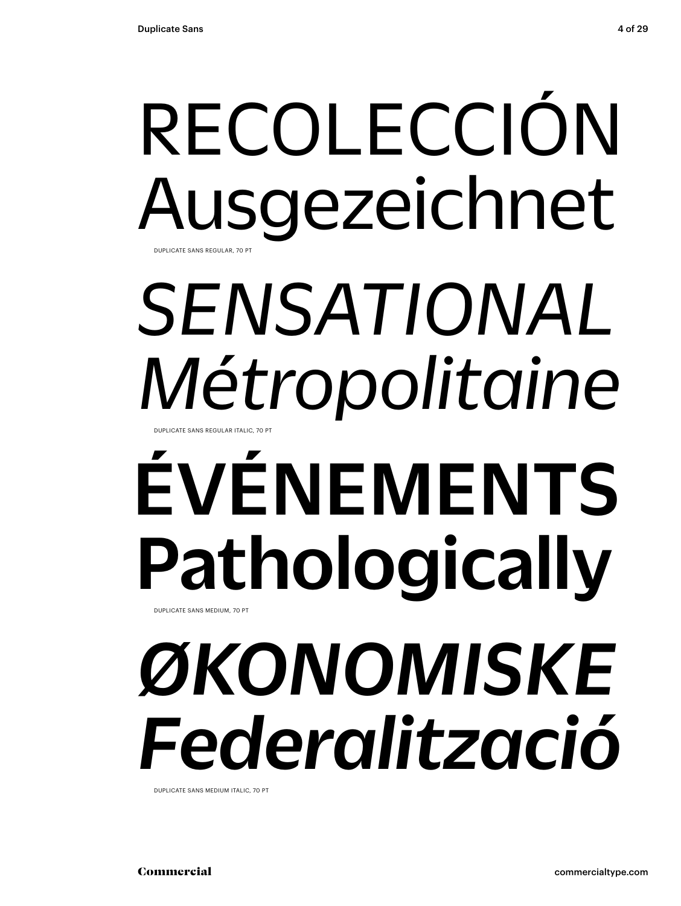## RECOLECCIÓN Ausgezeichnet DUPLICATE SANS REGULAR, 70 PT

## *SENSATIONAL Métropolitaine* UPLICATE SANS REGULAR ITALIC, 70 PT

# ÉVÉNEMENTS Pathologically DUPLICATE SANS MEDIUM, 70 PT

# *ØKONOMISKE Federalització*

DUPLICATE SANS MEDIUM ITALIC, 70 PT

Commercial commercialtype.com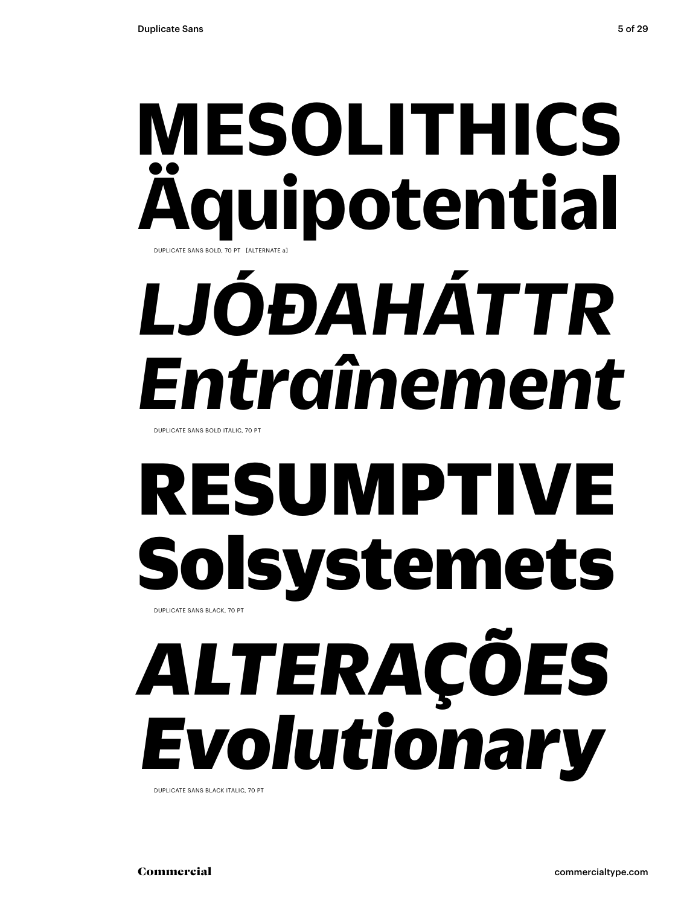## **MESOLITHICS Äquipotential** DUPLICATE SANS BOLD, 70 PT [ALTERNATE a]

# *LJÓÐAHÁTTR Entraînement*

DUPLICATE SANS BOLD ITALIC, 70 PT

# RESUMPTIVE Solsystemets DUPLICATE SANS BLACK, 70 PT

# *ALTERAÇÕES Evolutionary*

DUPLICATE SANS BLACK ITALIC, 70 PT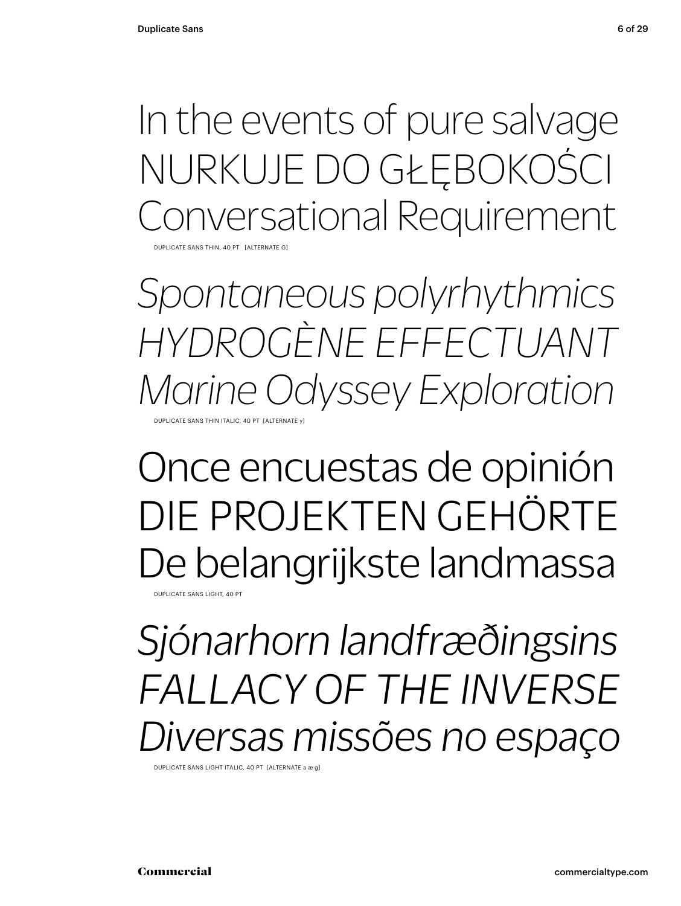In the events of pure salvage NURKUJE DO GŁĘBOKOŚCI Conversational Requirement

DUPLICATE SANS THIN, 40 PT [ALTERNATE G]

*Spontaneous polyrhythmics HYDROGÈNE EFFECTUANT Marine Odyssey Exploration* DUPLICATE SANS THIN ITALIC, 40 PT [ALTERNATE y]

## Once encuestas de opinión DIE PROJEKTEN GEHÖRTE De belangrijkste landmassa

DUPLICATE SANS LIGHT, 40 PT

*Sjónarhorn landfræðingsins FALLACY OF THE INVERSE Diversas missões no espaço*

DUPLICATE SANS LIGHT ITALIC, 40 PT [ALTERNATE a æ g]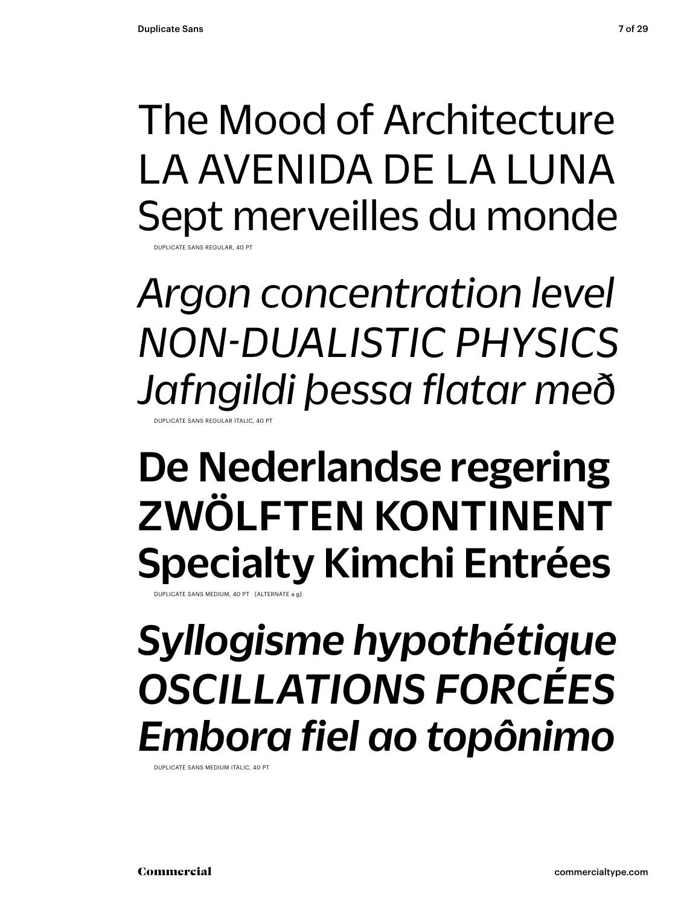### The Mood of Architecture LA AVENIDA DE LA LUNA Sept merveilles du monde CATE SANS REGULAR, 40 PT

*Argon concentration level NON-DUALISTIC PHYSICS Jafngildi þessa flatar með* DUPLICATE SANS REGULAR ITALIC, 40 PT

## De Nederlandse regering ZWÖLFTEN KONTINENT Specialty Kimchi Entrées

DUPLICATE SANS MEDIUM, 40 PT [ALTERNATE a g]

## *Syllogisme hypothétique OSCILLATIONS FORCÉES Embora fiel ao topônimo*

DUPLICATE SANS MEDIUM ITALIC, 40 PT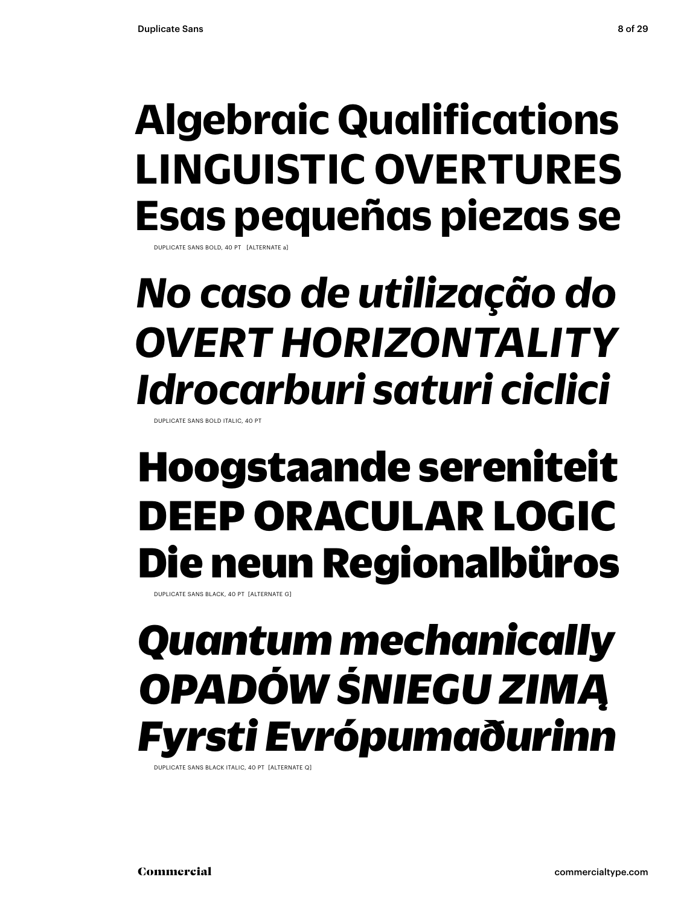## **Algebraic Qualifications LINGUISTIC OVERTURES Esas pequeñas piezas se**

DUPLICATE SANS BOLD, 40 PT [ALTERNATE a]

## *No caso de utilização do OVERT HORIZONTALITY Idrocarburi saturi ciclici*

**DUPLICATE SANS BOLD ITALIC, 40** 

## Hoogstaande sereniteit DEEP ORACULAR LOGIC Die neun Regionalbüros

DUPLICATE SANS BLACK, 40 PT [ALTERNATE G]

## *Quantum mechanically OPADÓW ŚNIEGU ZIMĄ Fyrsti Evrópumaðurinn*

DUPLICATE SANS BLACK ITALIC, 40 PT [ALTERNATE Q]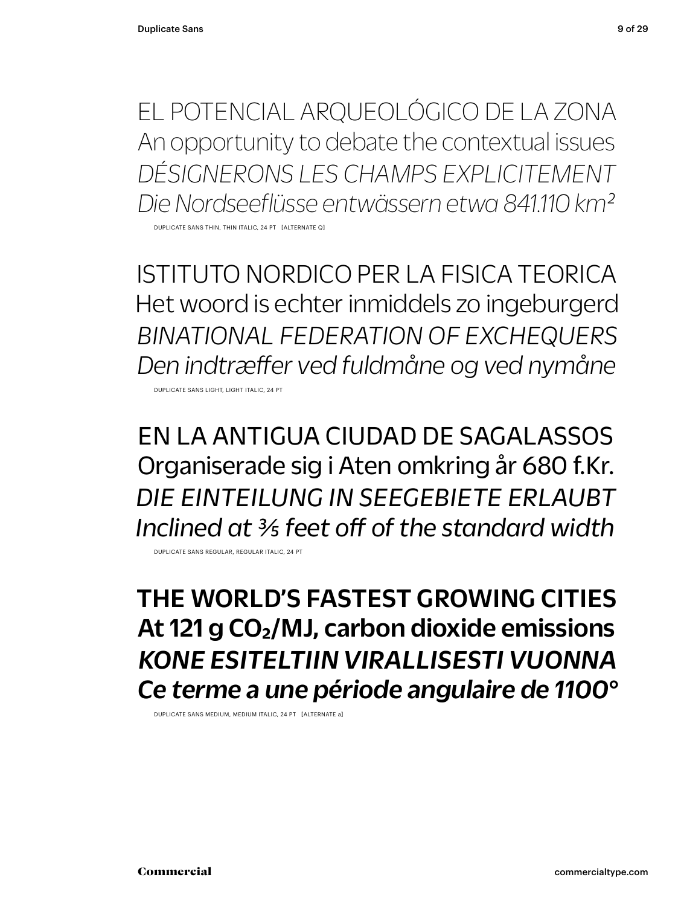EL POTENCIAL ARQUEOLÓGICO DE LA ZONA An opportunity to debate the contextual issues *DÉSIGNERONS LES CHAMPS EXPLICITEMENT Die Nordseeflüsse entwässern etwa 841.110 km2*

DUPLICATE SANS THIN, THIN ITALIC, 24 PT [ALTERNATE Q]

ISTITUTO NORDICO PER LA FISICA TEORICA Het woord is echter inmiddels zo ingeburgerd *BINATIONAL FEDERATION OF EXCHEQUERS Den indtræffer ved fuldmåne og ved nymåne*

DUPLICATE SANS LIGHT, LIGHT ITALIC, 24 PT

EN LA ANTIGUA CIUDAD DE SAGALASSOS Organiserade sig i Aten omkring år 680 f.Kr. *DIE EINTEILUNG IN SEEGEBIETE ERLAUBT Inclined at 3/5 feet off of the standard width*

DUPLICATE SANS REGULAR, REGULAR ITALIC, 24 PT

THE WORLD'S FASTEST GROWING CITIES At 121 g CO<sub>2</sub>/MJ, carbon dioxide emissions *KONE ESITELTIIN VIRALLISESTI VUONNA Ce terme a une période angulaire de 1100°*

DUPLICATE SANS MEDIUM, MEDIUM ITALIC, 24 PT [ALTERNATE a]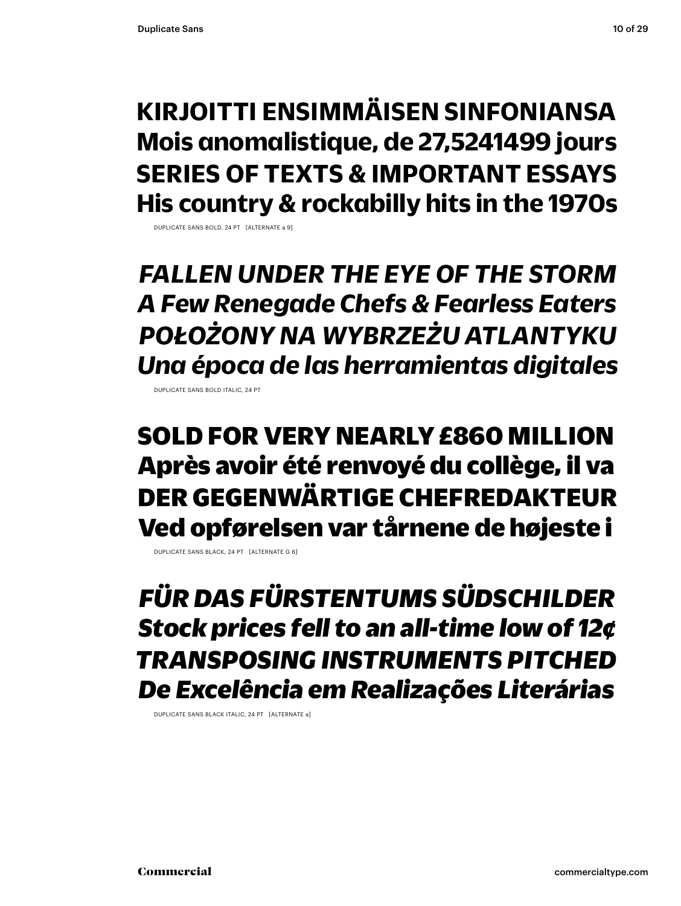### **KIRJOITTI ENSIMMÄISEN SINFONIANSA Mois anomalistique, de 27,5241499 jours SERIES OF TEXTS & IMPORTANT ESSAYS His country & rockabilly hits in the 1970s**

DUPLICATE SANS BOLD, 24 PT [ALTERNATE a 9]

*FALLEN UNDER THE EYE OF THE STORM A Few Renegade Chefs & Fearless Eaters POŁOŻONY NA WYBRZEŻU ATLANTYKU Una época de las herramientas digitales*

DUPLICATE SANS BOLD ITALIC, 24 PT

SOLD FOR VERY NEARLY £860 MILLION Après avoir été renvoyé du collège, il va DER GEGENWÄRTIGE CHEFREDAKTEUR Ved opførelsen var tårnene de højeste i

DUPLICATE SANS BLACK, 24 PT [ALTERNATE G 6]

*FÜR DAS FÜRSTENTUMS SÜDSCHILDER Stock prices fell to an all-time low of 12¢ TRANSPOSING INSTRUMENTS PITCHED De Excelência em Realizações Literárias*

DUPLICATE SANS BLACK ITALIC, 24 PT [ALTERNATE a]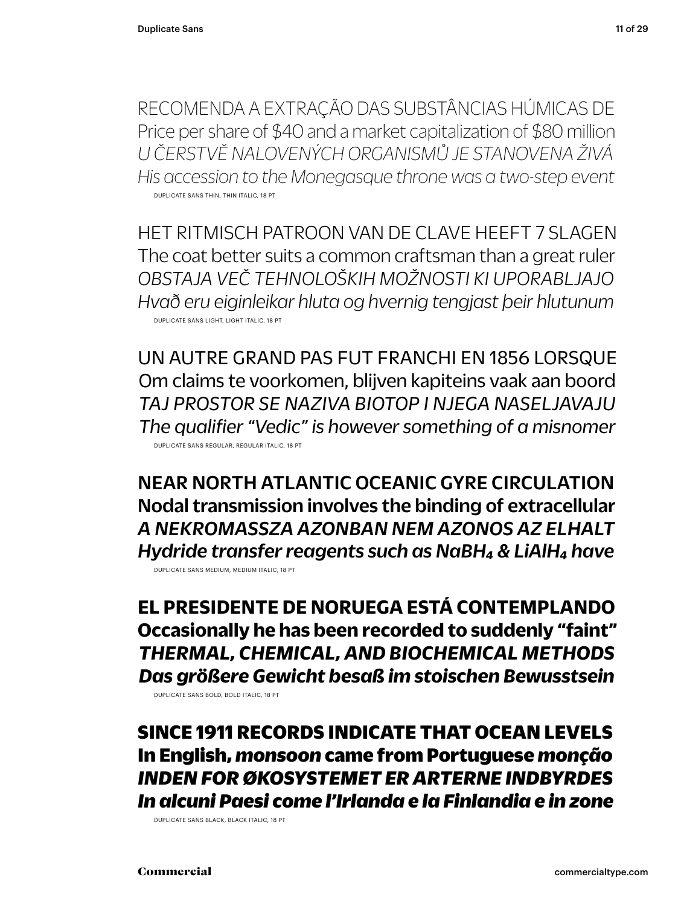RECOMENDA A EXTRAÇÃO DAS SUBSTÂNCIAS HÚMICAS DE Price per share of \$40 and a market capitalization of \$80 million *U ČERSTVĚ NALOVENÝCH ORGANISMŮ JE STANOVENA ŽIVÁ His accession to the Monegasque throne was a two-step event* DUPLICATE SANS THIN, THIN ITALIC, 18 PT

HET RITMISCH PATROON VAN DE CLAVE HEEFT 7 SLAGEN The coat better suits a common craftsman than a great ruler *OBSTAJA VEČ TEHNOLOŠKIH MOŽNOSTI KI UPORABLJAJO Hvað eru eiginleikar hluta og hvernig tengjast þeir hlutunum* DUPLICATE SANS LIGHT, LIGHT ITALIC, 18 PT

UN AUTRE GRAND PAS FUT FRANCHI EN 1856 LORSQUE Om claims te voorkomen, blijven kapiteins vaak aan boord *TAJ PROSTOR SE NAZIVA BIOTOP I NJEGA NASELJAVAJU The qualifier "Vedic" is however something of a misnomer* DUPLICATE SANS REGULAR, REGULAR ITALIC, 18 PT

NEAR NORTH ATLANTIC OCEANIC GYRE CIRCULATION Nodal transmission involves the binding of extracellular *A NEKROMASSZA AZONBAN NEM AZONOS AZ ELHALT Hydride transfer reagents such as NaBH4 & LiAlH4 have* DUPLICATE SANS MEDIUM, MEDIUM ITALIC, 18 PT

**EL PRESIDENTE DE NORUEGA ESTÁ CONTEMPLANDO Occasionally he has been recorded to suddenly "faint"** *THERMAL, CHEMICAL, AND BIOCHEMICAL METHODS Das größere Gewicht besaß im stoischen Bewusstsein*

DUPLICATE SANS BOLD, BOLD ITALIC, 18 PT

SINCE 1911 RECORDS INDICATE THAT OCEAN LEVELS In English, *monsoon* came from Portuguese *monção INDEN FOR ØKOSYSTEMET ER ARTERNE INDBYRDES In alcuni Paesi come l'Irlanda e la Finlandia e in zone*

DUPLICATE SANS BLACK, BLACK ITALIC, 18 PT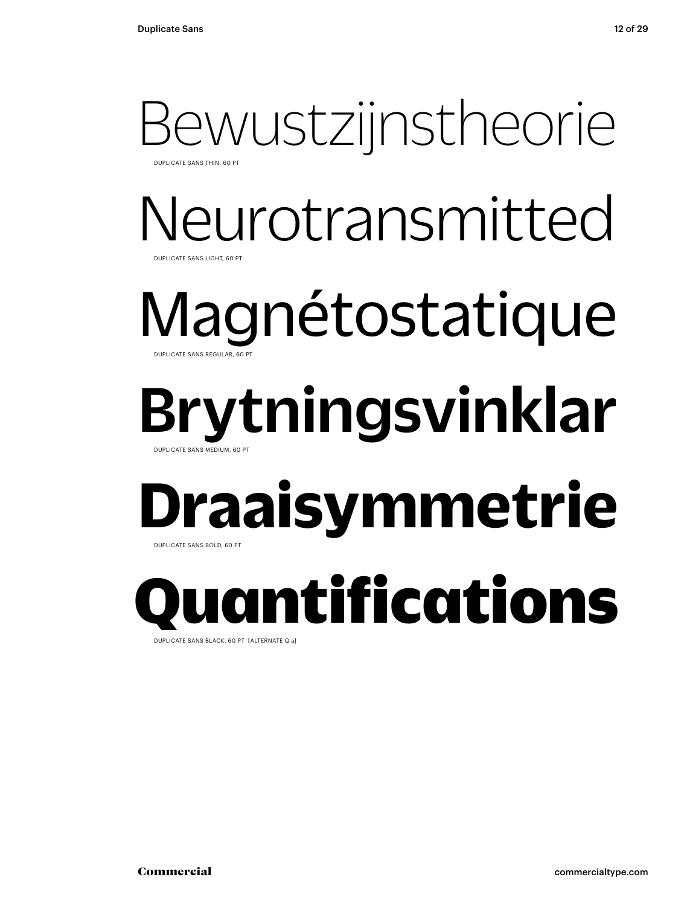### Bewustzijnstheorie DUPLICATE SANS THIN, 60 PT

## Neurotransmitted DUPLICATE SANS LIGHT, 60 PT

### Magnétostatique DUPLICATE SANS REGULAR, 60 PT

## Brytningsvinklar DUPLICATE SANS MEDIUM, 60 PT

## **Draaisymmetrie** DUPLICATE SANS BOLD, 60 PT

Quantifications

DUPLICATE SANS BLACK, 60 PT [ALTERNATE Q a]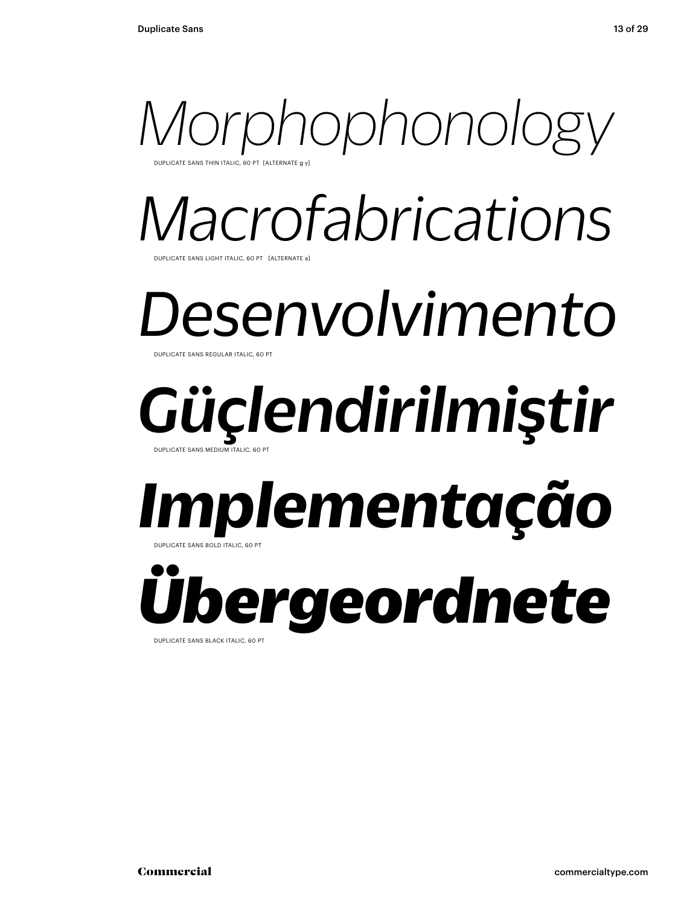

*Macrofabrications* JPLICATE SANS LIGHT ITALIC, 60 PT [ALTERNATE a

*Desenvolvimento* DUPLICATE SANS REGULAR ITALIC, 60

### *Güçlendirilmiştir* DUPLICATE SANS MEDIUM ITALIC, 60 PT

### *Implementação* DUPLICATE SANS BOLD ITALIC, 60 PT

*Übergeordnete* DUPLICATE SANS BLACK ITALIC, 60 PT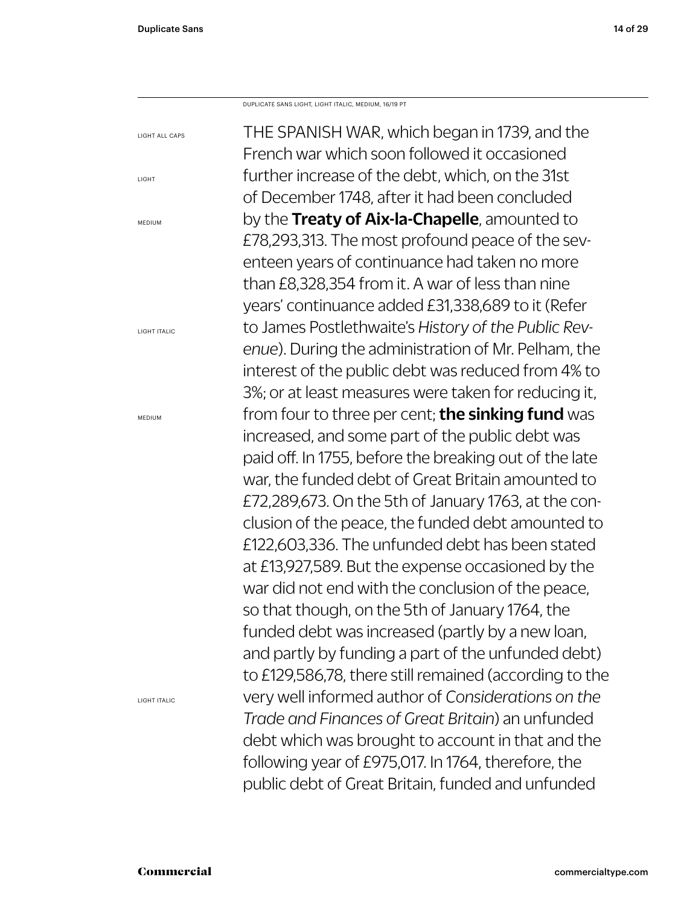LIGHT

MEDIUM

MEDIUM

THE SPANISH WAR, which began in 1739, and the French war which soon followed it occasioned further increase of the debt, which, on the 31st of December 1748, after it had been concluded by the Treaty of Aix-la-Chapelle, amounted to £78,293,313. The most profound peace of the seventeen years of continuance had taken no more than £8,328,354 from it. A war of less than nine years' continuance added £31,338,689 to it (Refer to James Postlethwaite's *History of the Public Revenue*). During the administration of Mr. Pelham, the interest of the public debt was reduced from 4% to 3%; or at least measures were taken for reducing it, from four to three per cent; the sinking fund was increased, and some part of the public debt was paid off. In 1755, before the breaking out of the late war, the funded debt of Great Britain amounted to £72,289,673. On the 5th of January 1763, at the conclusion of the peace, the funded debt amounted to £122,603,336. The unfunded debt has been stated at £13,927,589. But the expense occasioned by the war did not end with the conclusion of the peace, so that though, on the 5th of January 1764, the funded debt was increased (partly by a new loan, and partly by funding a part of the unfunded debt) to £129,586,78, there still remained (according to the very well informed author of *Considerations on the Trade and Finances of Great Britain*) an unfunded debt which was brought to account in that and the following year of £975,017. In 1764, therefore, the public debt of Great Britain, funded and unfunded LIGHT ALL CAPS LIGHT ITALIC LIGHT ITALIC DUPLICATE SANS LIGHT, LIGHT ITALIC, MEDIUM, 16/19 PT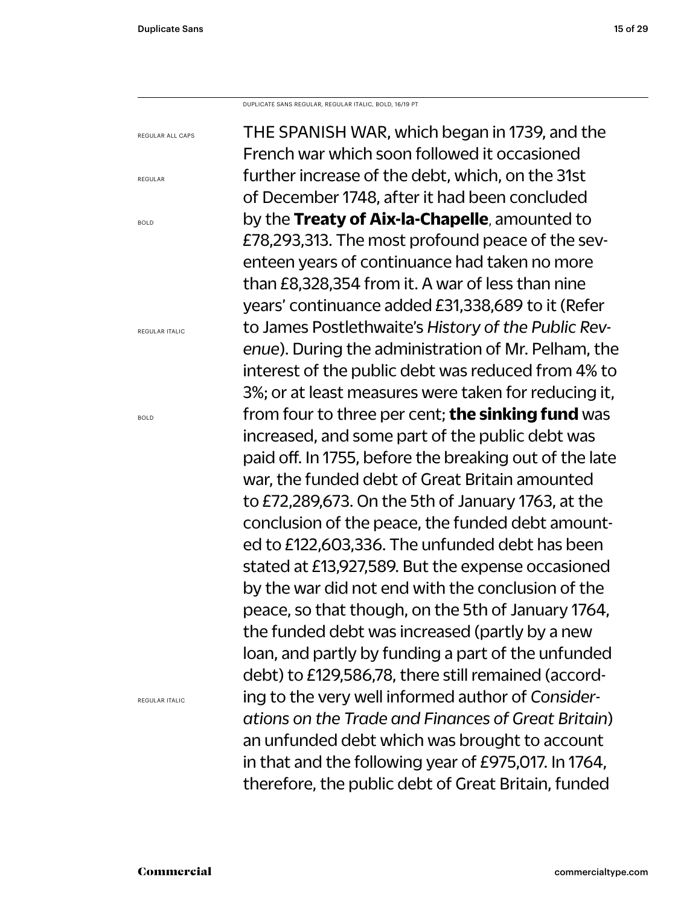DUPLICATE SANS REGULAR, REGULAR ITALIC, BOLD, 16/19 PT

THE SPANISH WAR, which began in 1739, and the French war which soon followed it occasioned further increase of the debt, which, on the 31st of December 1748, after it had been concluded by the **Treaty of Aix-la-Chapelle**, amounted to £78,293,313. The most profound peace of the seventeen years of continuance had taken no more than £8,328,354 from it. A war of less than nine years' continuance added £31,338,689 to it (Refer to James Postlethwaite's *History of the Public Revenue*). During the administration of Mr. Pelham, the interest of the public debt was reduced from 4% to 3%; or at least measures were taken for reducing it, from four to three per cent; **the sinking fund** was increased, and some part of the public debt was paid off. In 1755, before the breaking out of the late war, the funded debt of Great Britain amounted to £72,289,673. On the 5th of January 1763, at the conclusion of the peace, the funded debt amounted to £122,603,336. The unfunded debt has been stated at £13,927,589. But the expense occasioned by the war did not end with the conclusion of the peace, so that though, on the 5th of January 1764, the funded debt was increased (partly by a new loan, and partly by funding a part of the unfunded debt) to £129,586,78, there still remained (according to the very well informed author of *Considerations on the Trade and Finances of Great Britain*) an unfunded debt which was brought to account in that and the following year of £975,017. In 1764, therefore, the public debt of Great Britain, funded

REGULAR ALL CAPS

BOLD

REGULAR

REGULAR ITALIC

BOLD

REGULAR ITALIC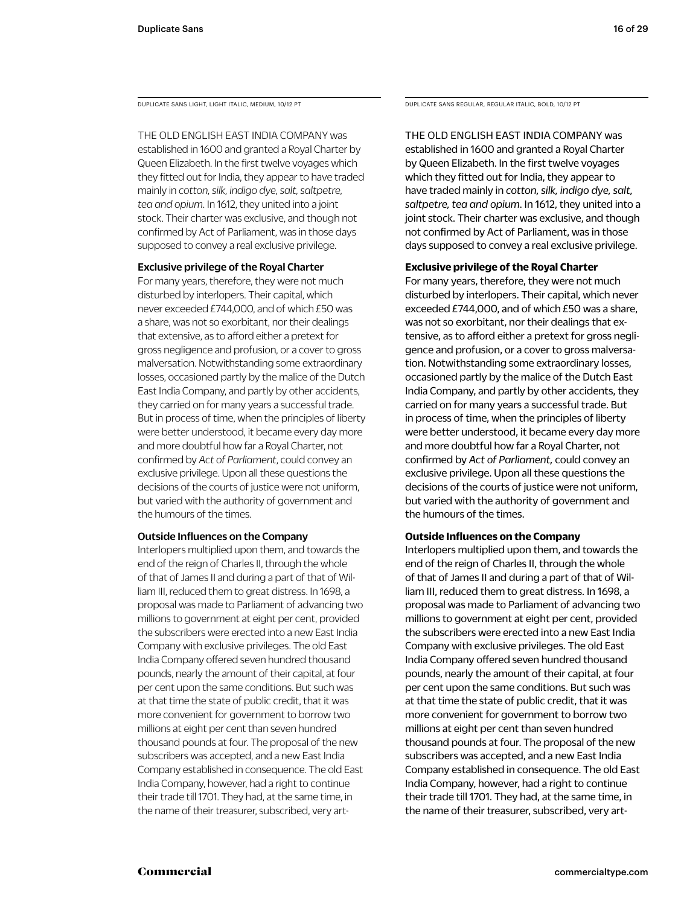DUPLICATE SANS LIGHT, LIGHT ITALIC, MEDIUM, 10/12 PT

THE OLD ENGLISH EAST INDIA COMPANY was established in 1600 and granted a Royal Charter by Queen Elizabeth. In the first twelve voyages which they fitted out for India, they appear to have traded mainly in *cotton, silk, indigo dye, salt, saltpetre, tea and opium*. In 1612, they united into a joint stock. Their charter was exclusive, and though not confirmed by Act of Parliament, was in those days supposed to convey a real exclusive privilege.

#### Exclusive privilege of the Royal Charter

For many years, therefore, they were not much disturbed by interlopers. Their capital, which never exceeded £744,000, and of which £50 was a share, was not so exorbitant, nor their dealings that extensive, as to afford either a pretext for gross negligence and profusion, or a cover to gross malversation. Notwithstanding some extraordinary losses, occasioned partly by the malice of the Dutch East India Company, and partly by other accidents, they carried on for many years a successful trade. But in process of time, when the principles of liberty were better understood, it became every day more and more doubtful how far a Royal Charter, not confirmed by *Act of Parliament*, could convey an exclusive privilege. Upon all these questions the decisions of the courts of justice were not uniform, but varied with the authority of government and the humours of the times.

#### Outside Influences on the Company

Interlopers multiplied upon them, and towards the end of the reign of Charles II, through the whole of that of James II and during a part of that of William III, reduced them to great distress. In 1698, a proposal was made to Parliament of advancing two millions to government at eight per cent, provided the subscribers were erected into a new East India Company with exclusive privileges. The old East India Company offered seven hundred thousand pounds, nearly the amount of their capital, at four per cent upon the same conditions. But such was at that time the state of public credit, that it was more convenient for government to borrow two millions at eight per cent than seven hundred thousand pounds at four. The proposal of the new subscribers was accepted, and a new East India Company established in consequence. The old East India Company, however, had a right to continue their trade till 1701. They had, at the same time, in the name of their treasurer, subscribed, very artDUPLICATE SANS REGULAR, REGULAR ITALIC, BOLD, 10/12 PT

THE OLD ENGLISH EAST INDIA COMPANY was established in 1600 and granted a Royal Charter by Queen Elizabeth. In the first twelve voyages which they fitted out for India, they appear to have traded mainly in *cotton, silk, indigo dye, salt, saltpetre, tea and opium*. In 1612, they united into a joint stock. Their charter was exclusive, and though not confirmed by Act of Parliament, was in those days supposed to convey a real exclusive privilege.

#### **Exclusive privilege of the Royal Charter**

For many years, therefore, they were not much disturbed by interlopers. Their capital, which never exceeded £744,000, and of which £50 was a share, was not so exorbitant, nor their dealings that extensive, as to afford either a pretext for gross negligence and profusion, or a cover to gross malversation. Notwithstanding some extraordinary losses, occasioned partly by the malice of the Dutch East India Company, and partly by other accidents, they carried on for many years a successful trade. But in process of time, when the principles of liberty were better understood, it became every day more and more doubtful how far a Royal Charter, not confirmed by *Act of Parliament,* could convey an exclusive privilege. Upon all these questions the decisions of the courts of justice were not uniform, but varied with the authority of government and the humours of the times.

#### **Outside Influences on the Company**

Interlopers multiplied upon them, and towards the end of the reign of Charles II, through the whole of that of James II and during a part of that of William III, reduced them to great distress. In 1698, a proposal was made to Parliament of advancing two millions to government at eight per cent, provided the subscribers were erected into a new East India Company with exclusive privileges. The old East India Company offered seven hundred thousand pounds, nearly the amount of their capital, at four per cent upon the same conditions. But such was at that time the state of public credit, that it was more convenient for government to borrow two millions at eight per cent than seven hundred thousand pounds at four. The proposal of the new subscribers was accepted, and a new East India Company established in consequence. The old East India Company, however, had a right to continue their trade till 1701. They had, at the same time, in the name of their treasurer, subscribed, very art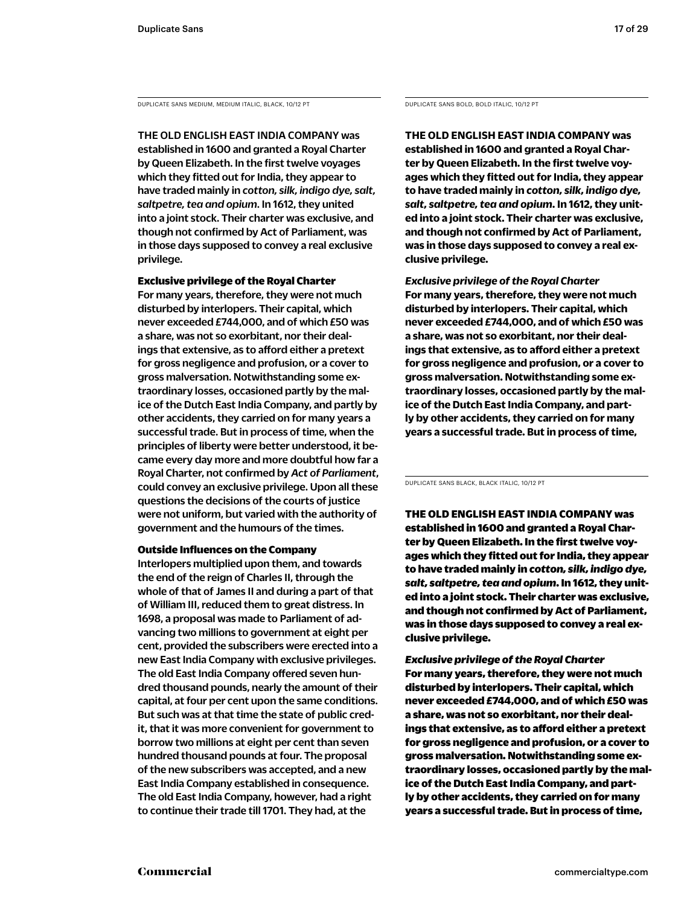DUPLICATE SANS MEDIUM, MEDIUM ITALIC, BLACK, 10/12 PT DUPLICATE SANS BOLD, BOLD ITALIC, 10/12 PT

THE OLD ENGLISH EAST INDIA COMPANY was established in 1600 and granted a Royal Charter by Queen Elizabeth. In the first twelve voyages which they fitted out for India, they appear to have traded mainly in *cotton, silk, indigo dye, salt, saltpetre, tea and opium*. In 1612, they united into a joint stock. Their charter was exclusive, and though not confirmed by Act of Parliament, was in those days supposed to convey a real exclusive privilege.

Exclusive privilege of the Royal Charter For many years, therefore, they were not much disturbed by interlopers. Their capital, which never exceeded £744,000, and of which £50 was a share, was not so exorbitant, nor their dealings that extensive, as to afford either a pretext for gross negligence and profusion, or a cover to gross malversation. Notwithstanding some extraordinary losses, occasioned partly by the malice of the Dutch East India Company, and partly by other accidents, they carried on for many years a successful trade. But in process of time, when the principles of liberty were better understood, it became every day more and more doubtful how far a Royal Charter, not confirmed by *Act of Parliament*, could convey an exclusive privilege. Upon all these questions the decisions of the courts of justice were not uniform, but varied with the authority of government and the humours of the times.

#### Outside Influences on the Company

Interlopers multiplied upon them, and towards the end of the reign of Charles II, through the whole of that of James II and during a part of that of William III, reduced them to great distress. In 1698, a proposal was made to Parliament of advancing two millions to government at eight per cent, provided the subscribers were erected into a new East India Company with exclusive privileges. The old East India Company offered seven hundred thousand pounds, nearly the amount of their capital, at four per cent upon the same conditions. But such was at that time the state of public credit, that it was more convenient for government to borrow two millions at eight per cent than seven hundred thousand pounds at four. The proposal of the new subscribers was accepted, and a new East India Company established in consequence. The old East India Company, however, had a right to continue their trade till 1701. They had, at the

**THE OLD ENGLISH EAST INDIA COMPANY was established in 1600 and granted a Royal Charter by Queen Elizabeth. In the first twelve voyages which they fitted out for India, they appear to have traded mainly in** *cotton, silk, indigo dye, salt, saltpetre, tea and opium***. In 1612, they united into a joint stock. Their charter was exclusive, and though not confirmed by Act of Parliament, was in those days supposed to convey a real exclusive privilege.** 

*Exclusive privilege of the Royal Charter* **For many years, therefore, they were not much disturbed by interlopers. Their capital, which never exceeded £744,000, and of which £50 was a share, was not so exorbitant, nor their dealings that extensive, as to afford either a pretext for gross negligence and profusion, or a cover to gross malversation. Notwithstanding some extraordinary losses, occasioned partly by the malice of the Dutch East India Company, and partly by other accidents, they carried on for many years a successful trade. But in process of time,** 

DUPLICATE SANS BLACK, BLACK ITALIC, 10/12 PT

THE OLD ENGLISH EAST INDIA COMPANY was established in 1600 and granted a Royal Charter by Queen Elizabeth. In the first twelve voyages which they fitted out for India, they appear to have traded mainly in *cotton, silk, indigo dye, salt, saltpetre, tea and opium*. In 1612, they united into a joint stock. Their charter was exclusive, and though not confirmed by Act of Parliament, was in those days supposed to convey a real exclusive privilege.

*Exclusive privilege of the Royal Charter* For many years, therefore, they were not much disturbed by interlopers. Their capital, which never exceeded £744,000, and of which £50 was a share, was not so exorbitant, nor their dealings that extensive, as to afford either a pretext for gross negligence and profusion, or a cover to gross malversation. Notwithstanding some extraordinary losses, occasioned partly by the malice of the Dutch East India Company, and partly by other accidents, they carried on for many years a successful trade. But in process of time,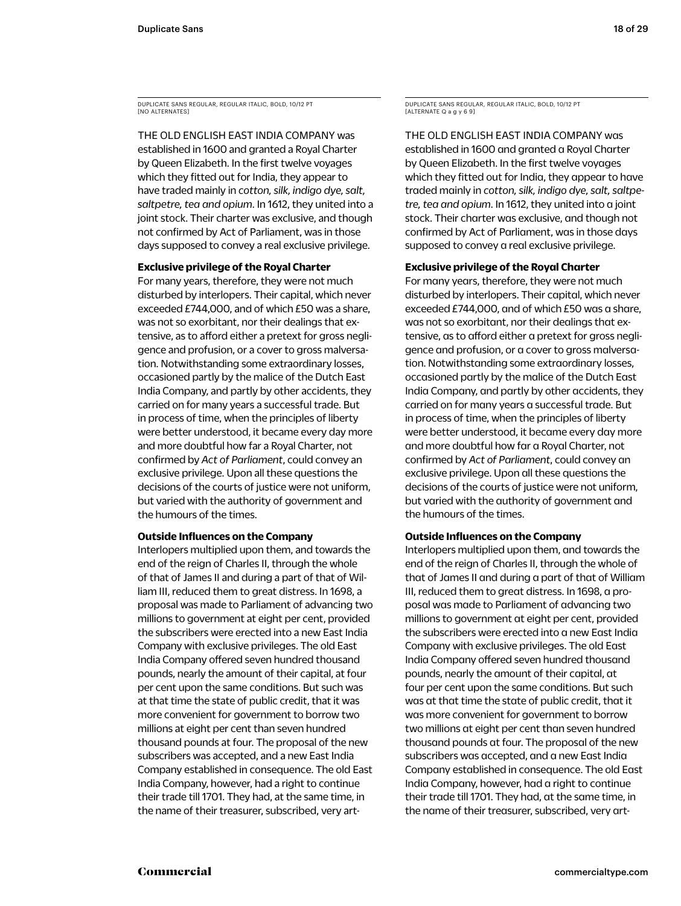DUPLICATE SANS REGULAR, REGULAR ITALIC, BOLD, 10/12 PT [NO ALTERNATES]

THE OLD ENGLISH EAST INDIA COMPANY was established in 1600 and granted a Royal Charter by Queen Elizabeth. In the first twelve voyages which they fitted out for India, they appear to have traded mainly in *cotton, silk, indigo dye, salt, saltpetre, tea and opium*. In 1612, they united into a joint stock. Their charter was exclusive, and though not confirmed by Act of Parliament, was in those days supposed to convey a real exclusive privilege.

#### **Exclusive privilege of the Royal Charter**

For many years, therefore, they were not much disturbed by interlopers. Their capital, which never exceeded £744,000, and of which £50 was a share, was not so exorbitant, nor their dealings that extensive, as to afford either a pretext for gross negligence and profusion, or a cover to gross malversation. Notwithstanding some extraordinary losses, occasioned partly by the malice of the Dutch East India Company, and partly by other accidents, they carried on for many years a successful trade. But in process of time, when the principles of liberty were better understood, it became every day more and more doubtful how far a Royal Charter, not confirmed by *Act of Parliament*, could convey an exclusive privilege. Upon all these questions the decisions of the courts of justice were not uniform, but varied with the authority of government and the humours of the times.

#### **Outside Influences on the Company**

Interlopers multiplied upon them, and towards the end of the reign of Charles II, through the whole of that of James II and during a part of that of William III, reduced them to great distress. In 1698, a proposal was made to Parliament of advancing two millions to government at eight per cent, provided the subscribers were erected into a new East India Company with exclusive privileges. The old East India Company offered seven hundred thousand pounds, nearly the amount of their capital, at four per cent upon the same conditions. But such was at that time the state of public credit, that it was more convenient for government to borrow two millions at eight per cent than seven hundred thousand pounds at four. The proposal of the new subscribers was accepted, and a new East India Company established in consequence. The old East India Company, however, had a right to continue their trade till 1701. They had, at the same time, in the name of their treasurer, subscribed, very artDUPLICATE SANS REGULAR, REGULAR ITALIC, BOLD, 10/12 PT [ALTERNATE Q a g y 6 9]

THE OLD ENGLISH EAST INDIA COMPANY was established in 1600 and granted a Royal Charter by Queen Elizabeth. In the first twelve voyages which they fitted out for India, they appear to have traded mainly in *cotton, silk, indigo dye, salt, saltpetre, tea and opium*. In 1612, they united into a joint stock. Their charter was exclusive, and though not confirmed by Act of Parliament, was in those days supposed to convey a real exclusive privilege.

#### **Exclusive privilege of the Royal Charter**

For many years, therefore, they were not much disturbed by interlopers. Their capital, which never exceeded £744,000, and of which £50 was a share, was not so exorbitant, nor their dealings that extensive, as to afford either a pretext for gross negligence and profusion, or a cover to gross malversation. Notwithstanding some extraordinary losses, occasioned partly by the malice of the Dutch East India Company, and partly by other accidents, they carried on for many years a successful trade. But in process of time, when the principles of liberty were better understood, it became every day more and more doubtful how far a Royal Charter, not confirmed by *Act of Parliament*, could convey an exclusive privilege. Upon all these questions the decisions of the courts of justice were not uniform, but varied with the authority of government and the humours of the times.

#### **Outside Influences on the Company**

Interlopers multiplied upon them, and towards the end of the reign of Charles II, through the whole of that of James II and during a part of that of William III, reduced them to great distress. In 1698, a proposal was made to Parliament of advancing two millions to government at eight per cent, provided the subscribers were erected into a new East India Company with exclusive privileges. The old East India Company offered seven hundred thousand pounds, nearly the amount of their capital, at four per cent upon the same conditions. But such was at that time the state of public credit, that it was more convenient for government to borrow two millions at eight per cent than seven hundred thousand pounds at four. The proposal of the new subscribers was accepted, and a new East India Company established in consequence. The old East India Company, however, had a right to continue their trade till 1701. They had, at the same time, in the name of their treasurer, subscribed, very art-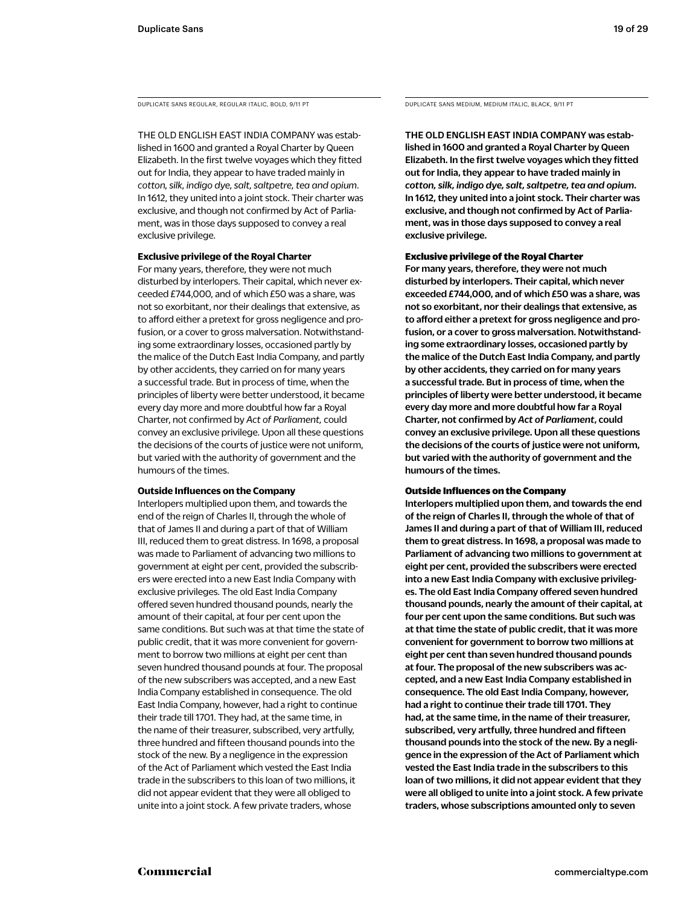THE OLD ENGLISH EAST INDIA COMPANY was established in 1600 and granted a Royal Charter by Queen Elizabeth. In the first twelve voyages which they fitted out for India, they appear to have traded mainly in *cotton, silk, indigo dye, salt, saltpetre, tea and opium*. In 1612, they united into a joint stock. Their charter was exclusive, and though not confirmed by Act of Parliament, was in those days supposed to convey a real exclusive privilege.

#### **Exclusive privilege of the Royal Charter**

For many years, therefore, they were not much disturbed by interlopers. Their capital, which never exceeded £744,000, and of which £50 was a share, was not so exorbitant, nor their dealings that extensive, as to afford either a pretext for gross negligence and profusion, or a cover to gross malversation. Notwithstanding some extraordinary losses, occasioned partly by the malice of the Dutch East India Company, and partly by other accidents, they carried on for many years a successful trade. But in process of time, when the principles of liberty were better understood, it became every day more and more doubtful how far a Royal Charter, not confirmed by *Act of Parliament,* could convey an exclusive privilege. Upon all these questions the decisions of the courts of justice were not uniform, but varied with the authority of government and the humours of the times.

#### **Outside Influences on the Company**

Interlopers multiplied upon them, and towards the end of the reign of Charles II, through the whole of that of James II and during a part of that of William III, reduced them to great distress. In 1698, a proposal was made to Parliament of advancing two millions to government at eight per cent, provided the subscribers were erected into a new East India Company with exclusive privileges. The old East India Company offered seven hundred thousand pounds, nearly the amount of their capital, at four per cent upon the same conditions. But such was at that time the state of public credit, that it was more convenient for government to borrow two millions at eight per cent than seven hundred thousand pounds at four. The proposal of the new subscribers was accepted, and a new East India Company established in consequence. The old East India Company, however, had a right to continue their trade till 1701. They had, at the same time, in the name of their treasurer, subscribed, very artfully, three hundred and fifteen thousand pounds into the stock of the new. By a negligence in the expression of the Act of Parliament which vested the East India trade in the subscribers to this loan of two millions, it did not appear evident that they were all obliged to unite into a joint stock. A few private traders, whose

DUPLICATE SANS REGULAR, REGULAR ITALIC, BOLD, 9/11 PT DUPLICATE SANS MEDIUM, MEDIUM ITALIC, BLACK, 9/11 PT

THE OLD ENGLISH EAST INDIA COMPANY was established in 1600 and granted a Royal Charter by Queen Elizabeth. In the first twelve voyages which they fitted out for India, they appear to have traded mainly in *cotton, silk, indigo dye, salt, saltpetre, tea and opium*. In 1612, they united into a joint stock. Their charter was exclusive, and though not confirmed by Act of Parliament, was in those days supposed to convey a real exclusive privilege.

#### Exclusive privilege of the Royal Charter

For many years, therefore, they were not much disturbed by interlopers. Their capital, which never exceeded £744,000, and of which £50 was a share, was not so exorbitant, nor their dealings that extensive, as to afford either a pretext for gross negligence and profusion, or a cover to gross malversation. Notwithstanding some extraordinary losses, occasioned partly by the malice of the Dutch East India Company, and partly by other accidents, they carried on for many years a successful trade. But in process of time, when the principles of liberty were better understood, it became every day more and more doubtful how far a Royal Charter, not confirmed by *Act of Parliament*, could convey an exclusive privilege. Upon all these questions the decisions of the courts of justice were not uniform, but varied with the authority of government and the humours of the times.

#### Outside Influences on the Company

Interlopers multiplied upon them, and towards the end of the reign of Charles II, through the whole of that of James II and during a part of that of William III, reduced them to great distress. In 1698, a proposal was made to Parliament of advancing two millions to government at eight per cent, provided the subscribers were erected into a new East India Company with exclusive privileges. The old East India Company offered seven hundred thousand pounds, nearly the amount of their capital, at four per cent upon the same conditions. But such was at that time the state of public credit, that it was more convenient for government to borrow two millions at eight per cent than seven hundred thousand pounds at four. The proposal of the new subscribers was accepted, and a new East India Company established in consequence. The old East India Company, however, had a right to continue their trade till 1701. They had, at the same time, in the name of their treasurer, subscribed, very artfully, three hundred and fifteen thousand pounds into the stock of the new. By a negligence in the expression of the Act of Parliament which vested the East India trade in the subscribers to this loan of two millions, it did not appear evident that they were all obliged to unite into a joint stock. A few private traders, whose subscriptions amounted only to seven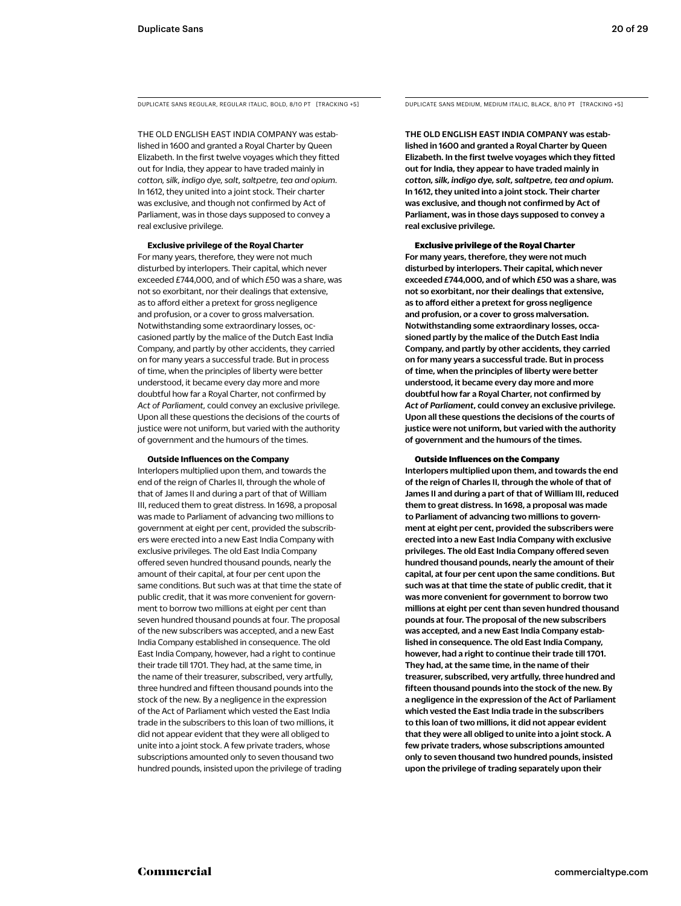DUPLICATE SANS REGULAR, REGULAR ITALIC, BOLD, 8/10 PT [TRACKING +5] DUPLICATE SANS MEDIUM, MEDIUM ITALIC, BLACK, 8/10 PT [TRACKING +5]

THE OLD ENGLISH EAST INDIA COMPANY was established in 1600 and granted a Royal Charter by Queen Elizabeth. In the first twelve voyages which they fitted out for India, they appear to have traded mainly in *cotton, silk, indigo dye, salt, saltpetre, tea and opium*. In 1612, they united into a joint stock. Their charter was exclusive, and though not confirmed by Act of Parliament, was in those days supposed to convey a real exclusive privilege.

#### **Exclusive privilege of the Royal Charter**

For many years, therefore, they were not much disturbed by interlopers. Their capital, which never exceeded £744,000, and of which £50 was a share, was not so exorbitant, nor their dealings that extensive, as to afford either a pretext for gross negligence and profusion, or a cover to gross malversation. Notwithstanding some extraordinary losses, occasioned partly by the malice of the Dutch East India Company, and partly by other accidents, they carried on for many years a successful trade. But in process of time, when the principles of liberty were better understood, it became every day more and more doubtful how far a Royal Charter, not confirmed by *Act of Parliament,* could convey an exclusive privilege. Upon all these questions the decisions of the courts of justice were not uniform, but varied with the authority of government and the humours of the times.

#### **Outside Influences on the Company**

Interlopers multiplied upon them, and towards the end of the reign of Charles II, through the whole of that of James II and during a part of that of William III, reduced them to great distress. In 1698, a proposal was made to Parliament of advancing two millions to government at eight per cent, provided the subscribers were erected into a new East India Company with exclusive privileges. The old East India Company offered seven hundred thousand pounds, nearly the amount of their capital, at four per cent upon the same conditions. But such was at that time the state of public credit, that it was more convenient for government to borrow two millions at eight per cent than seven hundred thousand pounds at four. The proposal of the new subscribers was accepted, and a new East India Company established in consequence. The old East India Company, however, had a right to continue their trade till 1701. They had, at the same time, in the name of their treasurer, subscribed, very artfully, three hundred and fifteen thousand pounds into the stock of the new. By a negligence in the expression of the Act of Parliament which vested the East India trade in the subscribers to this loan of two millions, it did not appear evident that they were all obliged to unite into a joint stock. A few private traders, whose subscriptions amounted only to seven thousand two hundred pounds, insisted upon the privilege of trading

THE OLD ENGLISH EAST INDIA COMPANY was established in 1600 and granted a Royal Charter by Queen Elizabeth. In the first twelve voyages which they fitted out for India, they appear to have traded mainly in *cotton, silk, indigo dye, salt, saltpetre, tea and opium*. In 1612, they united into a joint stock. Their charter was exclusive, and though not confirmed by Act of Parliament, was in those days supposed to convey a real exclusive privilege.

#### Exclusive privilege of the Royal Charter

For many years, therefore, they were not much disturbed by interlopers. Their capital, which never exceeded £744,000, and of which £50 was a share, was not so exorbitant, nor their dealings that extensive, as to afford either a pretext for gross negligence and profusion, or a cover to gross malversation. Notwithstanding some extraordinary losses, occasioned partly by the malice of the Dutch East India Company, and partly by other accidents, they carried on for many years a successful trade. But in process of time, when the principles of liberty were better understood, it became every day more and more doubtful how far a Royal Charter, not confirmed by *Act of Parliament*, could convey an exclusive privilege. Upon all these questions the decisions of the courts of justice were not uniform, but varied with the authority of government and the humours of the times.

#### Outside Influences on the Company

Interlopers multiplied upon them, and towards the end of the reign of Charles II, through the whole of that of James II and during a part of that of William III, reduced them to great distress. In 1698, a proposal was made to Parliament of advancing two millions to government at eight per cent, provided the subscribers were erected into a new East India Company with exclusive privileges. The old East India Company offered seven hundred thousand pounds, nearly the amount of their capital, at four per cent upon the same conditions. But such was at that time the state of public credit, that it was more convenient for government to borrow two millions at eight per cent than seven hundred thousand pounds at four. The proposal of the new subscribers was accepted, and a new East India Company established in consequence. The old East India Company, however, had a right to continue their trade till 1701. They had, at the same time, in the name of their treasurer, subscribed, very artfully, three hundred and fifteen thousand pounds into the stock of the new. By a negligence in the expression of the Act of Parliament which vested the East India trade in the subscribers to this loan of two millions, it did not appear evident that they were all obliged to unite into a joint stock. A few private traders, whose subscriptions amounted only to seven thousand two hundred pounds, insisted upon the privilege of trading separately upon their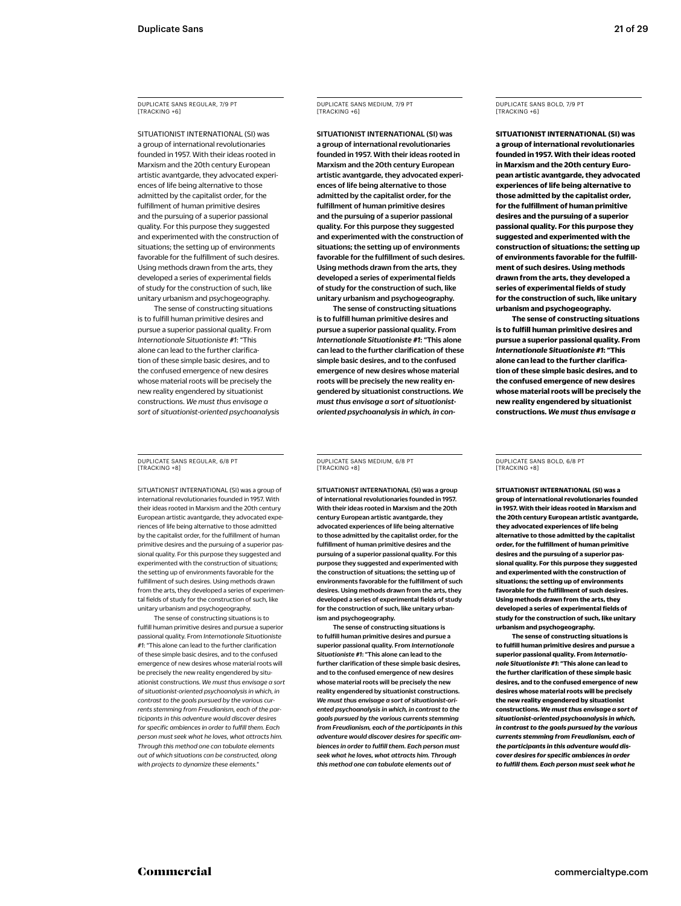DUPLICATE SANS REGULAR, 7/9 PT [TRACKING +6]

SITUATIONIST INTERNATIONAL (SI) was a group of international revolutionaries founded in 1957. With their ideas rooted in Marxism and the 20th century European artistic avantgarde, they advocated experiences of life being alternative to those admitted by the capitalist order, for the fulfillment of human primitive desires and the pursuing of a superior passional quality. For this purpose they suggested and experimented with the construction of situations; the setting up of environments favorable for the fulfillment of such desires. Using methods drawn from the arts, they developed a series of experimental fields of study for the construction of such, like unitary urbanism and psychogeography.

The sense of constructing situations is to fulfill human primitive desires and pursue a superior passional quality. From *Internationale Situationiste #1*: "This alone can lead to the further clarification of these simple basic desires, and to the confused emergence of new desires whose material roots will be precisely the new reality engendered by situationist constructions. *We must thus envisage a sort of situationist-oriented psychoanalysis* 

DUPLICATE SANS REGULAR, 6/8 PT [TRACKING +8]

SITUATIONIST INTERNATIONAL (SI) was a group of international revolutionaries founded in 1957. With their ideas rooted in Marxism and the 20th century European artistic avantgarde, they advocated experiences of life being alternative to those admitted by the capitalist order, for the fulfillment of human primitive desires and the pursuing of a superior passional quality. For this purpose they suggested and experimented with the construction of situations; the setting up of environments favorable for the fulfillment of such desires. Using methods drawn from the arts, they developed a series of experimental fields of study for the construction of such, like unitary urbanism and psychogeography.

The sense of constructing situations is to fulfill human primitive desires and pursue a superior passional quality. From *Internationale Situationiste #1*: "This alone can lead to the further clarification of these simple basic desires, and to the confused emergence of new desires whose material roots will be precisely the new reality engendered by situationist constructions. *We must thus envisage a sort of situationist-oriented psychoanalysis in which, in contrast to the goals pursued by the various currents stemming from Freudianism, each of the participants in this adventure would discover desires for specific ambiences in order to fulfill them. Each person must seek what he loves, what attracts him. Through this method one can tabulate elements out of which situations can be constructed, along with projects to dynamize these elements.*"

DUPLICATE SANS MEDIUM, 7/9 PT [TRACKING +6]

SITUATIONIST INTERNATIONAL (SI) was a group of international revolutionaries founded in 1957. With their ideas rooted in Marxism and the 20th century European artistic avantgarde, they advocated experiences of life being alternative to those admitted by the capitalist order, for the fulfillment of human primitive desires and the pursuing of a superior passional quality. For this purpose they suggested and experimented with the construction of situations; the setting up of environments favorable for the fulfillment of such desires. Using methods drawn from the arts, they developed a series of experimental fields of study for the construction of such, like unitary urbanism and psychogeography.

The sense of constructing situations is to fulfill human primitive desires and pursue a superior passional quality. From *Internationale Situationiste #1*: "This alone can lead to the further clarification of these simple basic desires, and to the confused emergence of new desires whose material roots will be precisely the new reality engendered by situationist constructions. *We must thus envisage a sort of situationistoriented psychoanalysis in which, in con-* DUPLICATE SANS BOLD, 7/9 PT [TRACKING +6]

**SITUATIONIST INTERNATIONAL (SI) was a group of international revolutionaries founded in 1957. With their ideas rooted in Marxism and the 20th century European artistic avantgarde, they advocated experiences of life being alternative to those admitted by the capitalist order, for the fulfillment of human primitive desires and the pursuing of a superior passional quality. For this purpose they suggested and experimented with the construction of situations; the setting up of environments favorable for the fulfillment of such desires. Using methods drawn from the arts, they developed a series of experimental fields of study for the construction of such, like unitary urbanism and psychogeography.**

**The sense of constructing situations is to fulfill human primitive desires and pursue a superior passional quality. From**  *Internationale Situationiste #1***: "This alone can lead to the further clarification of these simple basic desires, and to the confused emergence of new desires whose material roots will be precisely the new reality engendered by situationist constructions.** *We must thus envisage a* 

DUPLICATE SANS MEDIUM, 6/8 PT [TRACKING +8]

SITUATIONIST INTERNATIONAL (SI) was a group of international revolutionaries founded in 1957. With their ideas rooted in Marxism and the 20th century European artistic avantgarde, they advocated experiences of life being alternative to those admitted by the capitalist order, for the fulfillment of human primitive desires and the pursuing of a superior passional quality. For this purpose they suggested and experimented with the construction of situations; the setting up of environments favorable for the fulfillment of such desires. Using methods drawn from the arts, they developed a series of experimental fields of study for the construction of such, like unitary urbanism and psychogeography.

The sense of constructing situations is to fulfill human primitive desires and pursue a superior passional quality. From *Internationale Situationiste #1*: "This alone can lead to the further clarification of these simple basic desires, and to the confused emergence of new desires whose material roots will be precisely the new reality engendered by situationist constructions. *We must thus envisage a sort of situationist-oriented psychoanalysis in which, in contrast to the goals pursued by the various currents stemming from Freudianism, each of the participants in this adventure would discover desires for specific ambiences in order to fulfill them. Each person must seek what he loves, what attracts him. Through this method one can tabulate elements out of* 

DUPLICATE SANS BOLD, 6/8 PT [TRACKING +8]

**SITUATIONIST INTERNATIONAL (SI) was a group of international revolutionaries founded in 1957. With their ideas rooted in Marxism and the 20th century European artistic avantgarde, they advocated experiences of life being alternative to those admitted by the capitalist order, for the fulfillment of human primitive desires and the pursuing of a superior passional quality. For this purpose they suggested and experimented with the construction of situations; the setting up of environments favorable for the fulfillment of such desires. Using methods drawn from the arts, they developed a series of experimental fields of study for the construction of such, like unitary urbanism and psychogeography.**

**The sense of constructing situations is to fulfill human primitive desires and pursue a superior passional quality. From** *Internationale Situationiste #1***: "This alone can lead to the further clarification of these simple basic desires, and to the confused emergence of new desires whose material roots will be precisely the new reality engendered by situationist constructions.** *We must thus envisage a sort of situationist-oriented psychoanalysis in which, in contrast to the goals pursued by the various currents stemming from Freudianism, each of the participants in this adventure would discover desires for specific ambiences in order to fulfill them. Each person must seek what he*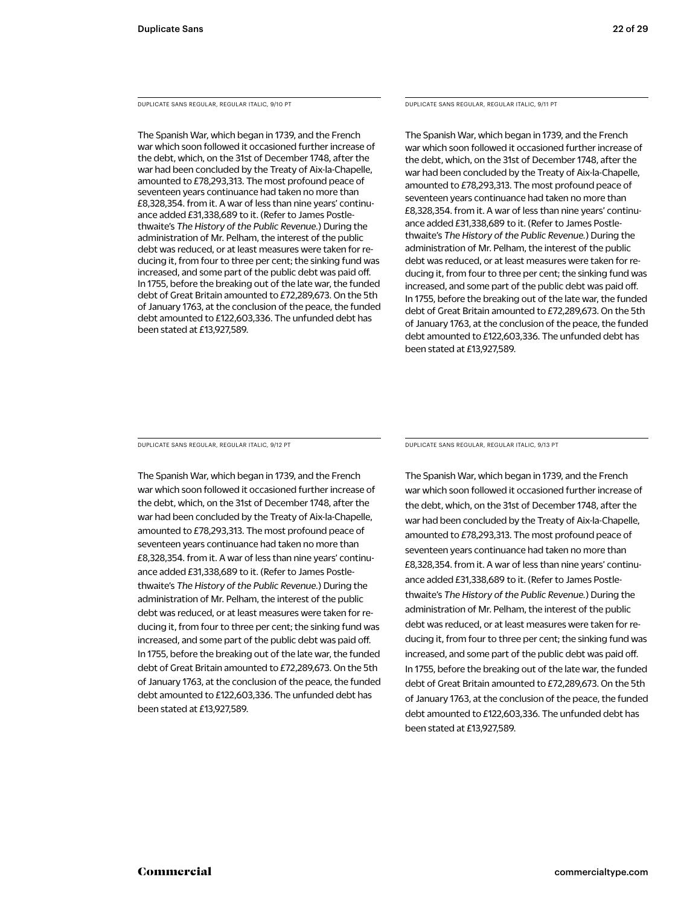DUPLICATE SANS REGULAR, REGULAR ITALIC, 9/10 PT

The Spanish War, which began in 1739, and the French war which soon followed it occasioned further increase of the debt, which, on the 31st of December 1748, after the war had been concluded by the Treaty of Aix-la-Chapelle, amounted to £78,293,313. The most profound peace of seventeen years continuance had taken no more than £8,328,354. from it. A war of less than nine years' continuance added £31,338,689 to it. (Refer to James Postlethwaite's *The History of the Public Revenue.*) During the administration of Mr. Pelham, the interest of the public debt was reduced, or at least measures were taken for reducing it, from four to three per cent; the sinking fund was increased, and some part of the public debt was paid off. In 1755, before the breaking out of the late war, the funded debt of Great Britain amounted to £72,289,673. On the 5th of January 1763, at the conclusion of the peace, the funded debt amounted to £122,603,336. The unfunded debt has been stated at £13,927,589.

#### DUPLICATE SANS REGULAR, REGULAR ITALIC, 9/11 PT

The Spanish War, which began in 1739, and the French war which soon followed it occasioned further increase of the debt, which, on the 31st of December 1748, after the war had been concluded by the Treaty of Aix-la-Chapelle, amounted to £78,293,313. The most profound peace of seventeen years continuance had taken no more than £8,328,354. from it. A war of less than nine years' continuance added £31,338,689 to it. (Refer to James Postlethwaite's *The History of the Public Revenue.*) During the administration of Mr. Pelham, the interest of the public debt was reduced, or at least measures were taken for reducing it, from four to three per cent; the sinking fund was increased, and some part of the public debt was paid off. In 1755, before the breaking out of the late war, the funded debt of Great Britain amounted to £72,289,673. On the 5th of January 1763, at the conclusion of the peace, the funded debt amounted to £122,603,336. The unfunded debt has been stated at £13,927,589.

DUPLICATE SANS REGULAR, REGULAR ITALIC, 9/12 PT

The Spanish War, which began in 1739, and the French war which soon followed it occasioned further increase of the debt, which, on the 31st of December 1748, after the war had been concluded by the Treaty of Aix-la-Chapelle, amounted to £78,293,313. The most profound peace of seventeen years continuance had taken no more than £8,328,354. from it. A war of less than nine years' continuance added £31,338,689 to it. (Refer to James Postlethwaite's *The History of the Public Revenue.*) During the administration of Mr. Pelham, the interest of the public debt was reduced, or at least measures were taken for reducing it, from four to three per cent; the sinking fund was increased, and some part of the public debt was paid off. In 1755, before the breaking out of the late war, the funded debt of Great Britain amounted to £72,289,673. On the 5th of January 1763, at the conclusion of the peace, the funded debt amounted to £122,603,336. The unfunded debt has been stated at £13,927,589.

DUPLICATE SANS REGULAR, REGULAR ITALIC, 9/13 PT

The Spanish War, which began in 1739, and the French war which soon followed it occasioned further increase of the debt, which, on the 31st of December 1748, after the war had been concluded by the Treaty of Aix-la-Chapelle, amounted to £78,293,313. The most profound peace of seventeen years continuance had taken no more than £8,328,354. from it. A war of less than nine years' continuance added £31,338,689 to it. (Refer to James Postlethwaite's *The History of the Public Revenue.*) During the administration of Mr. Pelham, the interest of the public debt was reduced, or at least measures were taken for reducing it, from four to three per cent; the sinking fund was increased, and some part of the public debt was paid off. In 1755, before the breaking out of the late war, the funded debt of Great Britain amounted to £72,289,673. On the 5th of January 1763, at the conclusion of the peace, the funded debt amounted to £122,603,336. The unfunded debt has been stated at £13,927,589.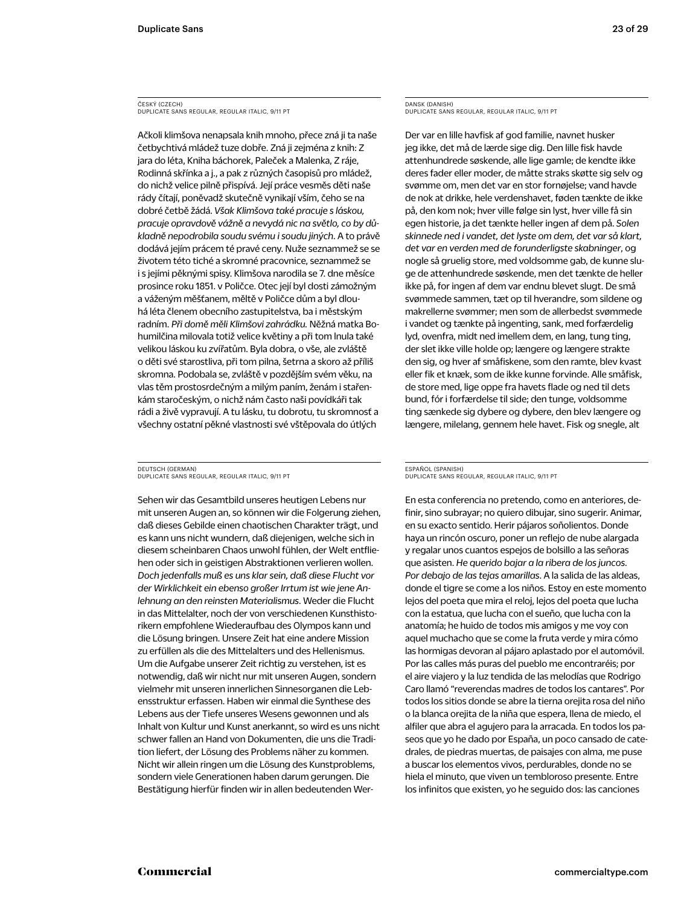#### ČESKÝ (CZECH) DUPLICATE SANS REGULAR, REGULAR ITALIC, 9/11 PT

Ačkoli klimšova nenapsala knih mnoho, přece zná ji ta naše četbychtivá mládež tuze dobře. Zná ji zejména z knih: Z jara do léta, Kniha báchorek, Paleček a Malenka, Z ráje, Rodinná skřínka a j., a pak z různých časopisů pro mládež, do nichž velice pilně přispívá. Její práce vesměs děti naše rády čítají, poněvadž skutečně vynikají vším, čeho se na dobré četbě žádá. *Však Klimšova také pracuje s láskou, pracuje opravdově vážně a nevydá nic na světlo, co by důkladně nepodrobila soudu svému i soudu jiných*. A to právě dodává jejím prácem té pravé ceny. Nuže seznammež se se životem této tiché a skromné pracovnice, seznammež se i s jejími pěknými spisy. Klimšova narodila se 7. dne měsíce prosince roku 1851. v Poličce. Otec její byl dosti zámožným a váženým měšťanem, měltě v Poličce dům a byl dlouhá léta členem obecního zastupitelstva, ba i městským radním. *Při domě měli Klimšovi zahrádku.* Něžná matka Bohumilčina milovala totiž velice květiny a při tom lnula také velikou láskou ku zvířatům. Byla dobra, o vše, ale zvláště o děti své starostliva, při tom pilna, šetrna a skoro až příliš skromna. Podobala se, zvláště v pozdějším svém věku, na vlas těm prostosrdečným a milým paním, ženám i stařenkám staročeským, o nichž nám často naši povídkáři tak rádi a živě vypravují. A tu lásku, tu dobrotu, tu skromnosť a všechny ostatní pěkné vlastnosti své vštěpovala do útlých

#### DEUTSCH (GERMAN) DUPLICATE SANS REGULAR, REGULAR ITALIC, 9/11 PT

Sehen wir das Gesamtbild unseres heutigen Lebens nur mit unseren Augen an, so können wir die Folgerung ziehen, daß dieses Gebilde einen chaotischen Charakter trägt, und es kann uns nicht wundern, daß diejenigen, welche sich in diesem scheinbaren Chaos unwohl fühlen, der Welt entfliehen oder sich in geistigen Abstraktionen verlieren wollen. *Doch jedenfalls muß es uns klar sein, daß diese Flucht vor der Wirklichkeit ein ebenso großer Irrtum ist wie jene Anlehnung an den reinsten Materialismus*. Weder die Flucht in das Mittelalter, noch der von verschiedenen Kunsthistorikern empfohlene Wiederaufbau des Olympos kann und die Lösung bringen. Unsere Zeit hat eine andere Mission zu erfüllen als die des Mittelalters und des Hellenismus. Um die Aufgabe unserer Zeit richtig zu verstehen, ist es notwendig, daß wir nicht nur mit unseren Augen, sondern vielmehr mit unseren innerlichen Sinnesorganen die Lebensstruktur erfassen. Haben wir einmal die Synthese des Lebens aus der Tiefe unseres Wesens gewonnen und als Inhalt von Kultur und Kunst anerkannt, so wird es uns nicht schwer fallen an Hand von Dokumenten, die uns die Tradition liefert, der Lösung des Problems näher zu kommen. Nicht wir allein ringen um die Lösung des Kunstproblems, sondern viele Generationen haben darum gerungen. Die Bestätigung hierfür finden wir in allen bedeutenden Wer-

#### DANSK (DANISH) DUPLICATE SANS REGULAR, REGULAR ITALIC, 9/11 PT

Der var en lille havfisk af god familie, navnet husker jeg ikke, det må de lærde sige dig. Den lille fisk havde attenhundrede søskende, alle lige gamle; de kendte ikke deres fader eller moder, de måtte straks skøtte sig selv og svømme om, men det var en stor fornøjelse; vand havde de nok at drikke, hele verdenshavet, føden tænkte de ikke på, den kom nok; hver ville følge sin lyst, hver ville få sin egen historie, ja det tænkte heller ingen af dem på. *Solen skinnede ned i vandet, det lyste om dem, det var så klart, det var en verden med de forunderligste skabninger*, og nogle så gruelig store, med voldsomme gab, de kunne sluge de attenhundrede søskende, men det tænkte de heller ikke på, for ingen af dem var endnu blevet slugt. De små svømmede sammen, tæt op til hverandre, som sildene og makrellerne svømmer; men som de allerbedst svømmede i vandet og tænkte på ingenting, sank, med forfærdelig lyd, ovenfra, midt ned imellem dem, en lang, tung ting, der slet ikke ville holde op; længere og længere strakte den sig, og hver af småfiskene, som den ramte, blev kvast eller fik et knæk, som de ikke kunne forvinde. Alle småfisk, de store med, lige oppe fra havets flade og ned til dets bund, fór i forfærdelse til side; den tunge, voldsomme ting sænkede sig dybere og dybere, den blev længere og længere, milelang, gennem hele havet. Fisk og snegle, alt

#### ESPAÑOL (SPANISH) DUPLICATE SANS REGULAR, REGULAR ITALIC, 9/11 PT

En esta conferencia no pretendo, como en anteriores, definir, sino subrayar; no quiero dibujar, sino sugerir. Animar, en su exacto sentido. Herir pájaros soñolientos. Donde haya un rincón oscuro, poner un reflejo de nube alargada y regalar unos cuantos espejos de bolsillo a las señoras que asisten. *He querido bajar a la ribera de los juncos. Por debajo de las tejas amarillas*. A la salida de las aldeas, donde el tigre se come a los niños. Estoy en este momento lejos del poeta que mira el reloj, lejos del poeta que lucha con la estatua, que lucha con el sueño, que lucha con la anatomía; he huido de todos mis amigos y me voy con aquel muchacho que se come la fruta verde y mira cómo las hormigas devoran al pájaro aplastado por el automóvil. Por las calles más puras del pueblo me encontraréis; por el aire viajero y la luz tendida de las melodías que Rodrigo Caro llamó "reverendas madres de todos los cantares". Por todos los sitios donde se abre la tierna orejita rosa del niño o la blanca orejita de la niña que espera, llena de miedo, el alfiler que abra el agujero para la arracada. En todos los paseos que yo he dado por España, un poco cansado de catedrales, de piedras muertas, de paisajes con alma, me puse a buscar los elementos vivos, perdurables, donde no se hiela el minuto, que viven un tembloroso presente. Entre los infinitos que existen, yo he seguido dos: las canciones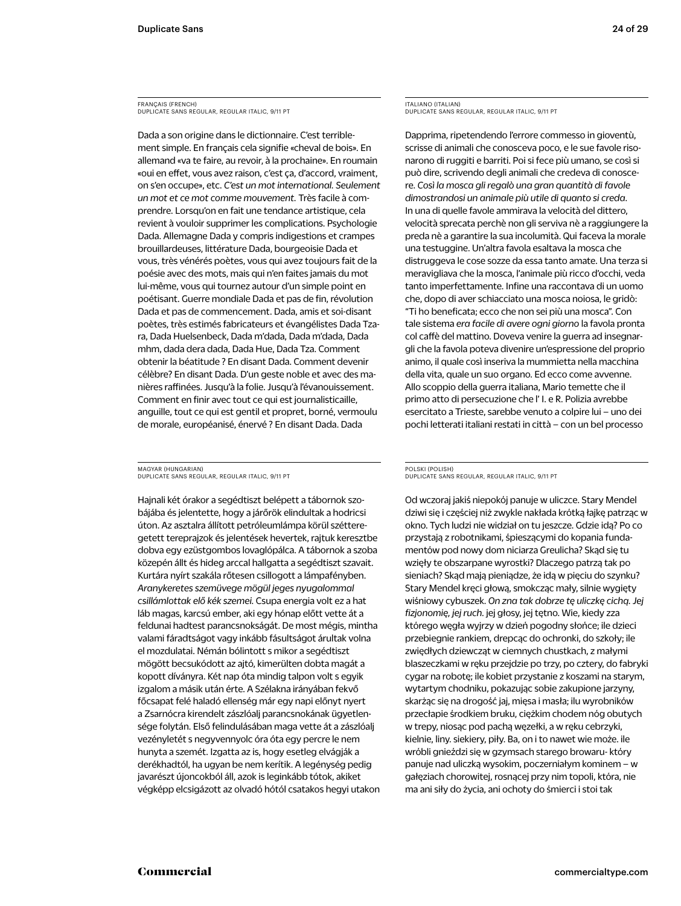FRANÇAIS (FRENCH) DUPLICATE SANS REGULAR, REGULAR ITALIC, 9/11 PT

Dada a son origine dans le dictionnaire. C'est terriblement simple. En français cela signifie «cheval de bois». En allemand «va te faire, au revoir, à la prochaine». En roumain «oui en effet, vous avez raison, c'est ça, d'accord, vraiment, on s'en occupe», etc. *C'est un mot international. Seulement un mot et ce mot comme mouvement.* Très facile à comprendre. Lorsqu'on en fait une tendance artistique, cela revient à vouloir supprimer les complications. Psychologie Dada. Allemagne Dada y compris indigestions et crampes brouillardeuses, littérature Dada, bourgeoisie Dada et vous, très vénérés poètes, vous qui avez toujours fait de la poésie avec des mots, mais qui n'en faites jamais du mot lui-même, vous qui tournez autour d'un simple point en poétisant. Guerre mondiale Dada et pas de fin, révolution Dada et pas de commencement. Dada, amis et soi-disant poètes, très estimés fabricateurs et évangélistes Dada Tzara, Dada Huelsenbeck, Dada m'dada, Dada m'dada, Dada mhm, dada dera dada, Dada Hue, Dada Tza. Comment obtenir la béatitude ? En disant Dada. Comment devenir célèbre? En disant Dada. D'un geste noble et avec des manières raffinées. Jusqu'à la folie. Jusqu'à l'évanouissement. Comment en finir avec tout ce qui est journalisticaille, anguille, tout ce qui est gentil et propret, borné, vermoulu de morale, européanisé, énervé ? En disant Dada. Dada

MAGYAR (HUNGARIAN) DUPLICATE SANS REGULAR, REGULAR ITALIC, 9/11 PT

Hajnali két órakor a segédtiszt belépett a tábornok szobájába és jelentette, hogy a járőrök elindultak a hodricsi úton. Az asztalra állított petróleumlámpa körül szétteregetett tereprajzok és jelentések hevertek, rajtuk keresztbe dobva egy ezüstgombos lovaglópálca. A tábornok a szoba közepén állt és hideg arccal hallgatta a segédtiszt szavait. Kurtára nyírt szakála rőtesen csillogott a lámpafényben. *Aranykeretes szemüvege mögül jeges nyugalommal csillámlottak elő kék szemei.* Csupa energia volt ez a hat láb magas, karcsú ember, aki egy hónap előtt vette át a feldunai hadtest parancsnokságát. De most mégis, mintha valami fáradtságot vagy inkább fásultságot árultak volna el mozdulatai. Némán bólintott s mikor a segédtiszt mögött becsukódott az ajtó, kimerülten dobta magát a kopott díványra. Két nap óta mindig talpon volt s egyik izgalom a másik után érte. A Szélakna irányában fekvő főcsapat felé haladó ellenség már egy napi előnyt nyert a Zsarnócra kirendelt zászlóalj parancsnokának ügyetlensége folytán. Első felindulásában maga vette át a zászlóalj vezényletét s negyvennyolc óra óta egy percre le nem hunyta a szemét. Izgatta az is, hogy esetleg elvágják a derékhadtól, ha ugyan be nem kerítik. A legénység pedig javarészt újoncokból áll, azok is leginkább tótok, akiket végképp elcsigázott az olvadó hótól csatakos hegyi utakon ITALIANO (ITALIAN) DUPLICATE SANS REGULAR, REGULAR ITALIC, 9/11 PT

Dapprima, ripetendendo l'errore commesso in gioventù, scrisse di animali che conosceva poco, e le sue favole risonarono di ruggiti e barriti. Poi si fece più umano, se così si può dire, scrivendo degli animali che credeva di conoscere. *Così la mosca gli regalò una gran quantità di favole dimostrandosi un animale più utile di quanto si creda*. In una di quelle favole ammirava la velocità del dittero, velocità sprecata perchè non gli serviva nè a raggiungere la preda nè a garantire la sua incolumità. Qui faceva la morale una testuggine. Un'altra favola esaltava la mosca che distruggeva le cose sozze da essa tanto amate. Una terza si meravigliava che la mosca, l'animale più ricco d'occhi, veda tanto imperfettamente. Infine una raccontava di un uomo che, dopo di aver schiacciato una mosca noiosa, le gridò: "Ti ho beneficata; ecco che non sei più una mosca". Con tale sistema *era facile di avere ogni giorno* la favola pronta col caffè del mattino. Doveva venire la guerra ad insegnargli che la favola poteva divenire un'espressione del proprio animo, il quale così inseriva la mummietta nella macchina della vita, quale un suo organo. Ed ecco come avvenne. Allo scoppio della guerra italiana, Mario temette che il primo atto di persecuzione che l' I. e R. Polizia avrebbe esercitato a Trieste, sarebbe venuto a colpire lui – uno dei pochi letterati italiani restati in città – con un bel processo

#### POLSKI (POLISH) DUPLICATE SANS REGULAR, REGULAR ITALIC, 9/11 PT

Od wczoraj jakiś niepokój panuje w uliczce. Stary Mendel dziwi się i częściej niż zwykle nakłada krótką łajkę patrząc w okno. Tych ludzi nie widział on tu jeszcze. Gdzie idą? Po co przystają z robotnikami, śpieszącymi do kopania fundamentów pod nowy dom niciarza Greulicha? Skąd się tu wzięły te obszarpane wyrostki? Dlaczego patrzą tak po sieniach? Skąd mają pieniądze, że idą w pięciu do szynku? Stary Mendel kręci głową, smokcząc mały, silnie wygięty wiśniowy cybuszek. *On zna tak dobrze tę uliczkę cichą. Jej fizjonomię, jej ruch.* jej głosy, jej tętno. Wie, kiedy zza którego węgła wyjrzy w dzień pogodny słońce; ile dzieci przebiegnie rankiem, drepcąc do ochronki, do szkoły; ile zwiędłych dziewcząt w ciemnych chustkach, z małymi blaszeczkami w ręku przejdzie po trzy, po cztery, do fabryki cygar na robotę; ile kobiet przystanie z koszami na starym, wytartym chodniku, pokazując sobie zakupione jarzyny, skarżąc się na drogość jaj, mięsa i masła; ilu wyrobników przecłapie środkiem bruku, ciężkim chodem nóg obutych w trepy, niosąc pod pachą węzełki, a w ręku cebrzyki, kielnie, liny. siekiery, piły. Ba, on i to nawet wie może. ile wróbli gnieździ się w gzymsach starego browaru- który panuje nad uliczką wysokim, poczerniałym kominem – w gałęziach chorowitej, rosnącej przy nim topoli, która, nie ma ani siły do życia, ani ochoty do śmierci i stoi tak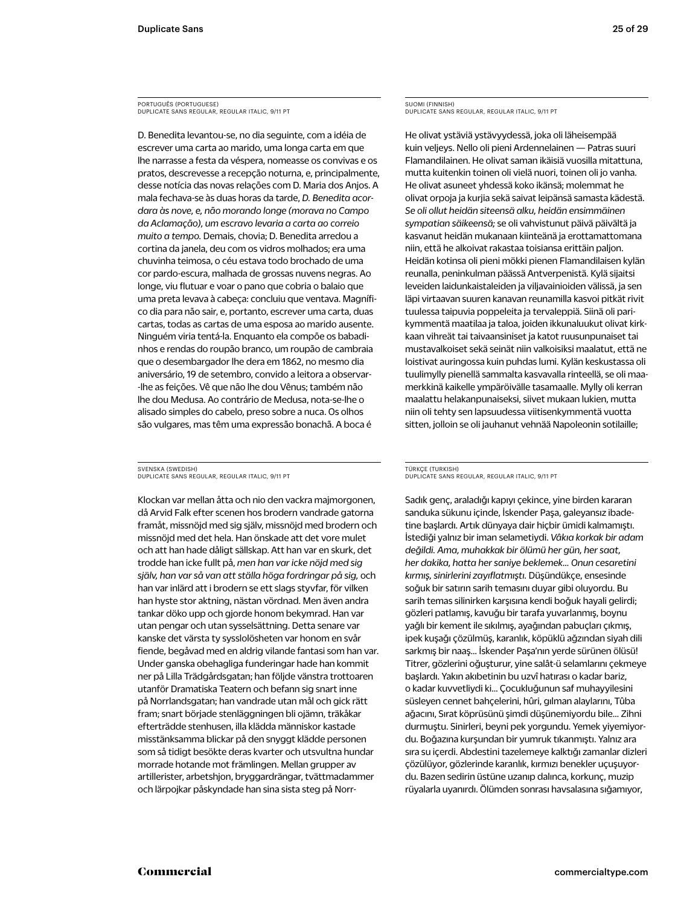PORTUGUÊS (PORTUGUESE) DUPLICATE SANS REGULAR, REGULAR ITALIC, 9/11 PT

D. Benedita levantou-se, no dia seguinte, com a idéia de escrever uma carta ao marido, uma longa carta em que lhe narrasse a festa da véspera, nomeasse os convivas e os pratos, descrevesse a recepção noturna, e, principalmente, desse notícia das novas relações com D. Maria dos Anjos. A mala fechava-se às duas horas da tarde, *D. Benedita acordara às nove, e, não morando longe (morava no Campo da Aclamação), um escravo levaria a carta ao correio muito a tempo.* Demais, chovia; D. Benedita arredou a cortina da janela, deu com os vidros molhados; era uma chuvinha teimosa, o céu estava todo brochado de uma cor pardo-escura, malhada de grossas nuvens negras. Ao longe, viu flutuar e voar o pano que cobria o balaio que uma preta levava à cabeça: concluiu que ventava. Magnífico dia para não sair, e, portanto, escrever uma carta, duas cartas, todas as cartas de uma esposa ao marido ausente. Ninguém viria tentá-la. Enquanto ela compõe os babadinhos e rendas do roupão branco, um roupão de cambraia que o desembargador lhe dera em 1862, no mesmo dia aniversário, 19 de setembro, convido a leitora a observar- -lhe as feições. Vê que não lhe dou Vênus; também não lhe dou Medusa. Ao contrário de Medusa, nota-se-lhe o alisado simples do cabelo, preso sobre a nuca. Os olhos são vulgares, mas têm uma expressão bonachã. A boca é

SVENSKA (SWEDISH) DUPLICATE SANS REGULAR, REGULAR ITALIC, 9/11 PT

Klockan var mellan åtta och nio den vackra majmorgonen, då Arvid Falk efter scenen hos brodern vandrade gatorna framåt, missnöjd med sig själv, missnöjd med brodern och missnöjd med det hela. Han önskade att det vore mulet och att han hade dåligt sällskap. Att han var en skurk, det trodde han icke fullt på, *men han var icke nöjd med sig själv, han var så van att ställa höga fordringar på sig,* och han var inlärd att i brodern se ett slags styvfar, för vilken han hyste stor aktning, nästan vördnad. Men även andra tankar döko upp och gjorde honom bekymrad. Han var utan pengar och utan sysselsättning. Detta senare var kanske det värsta ty sysslolösheten var honom en svår fiende, begåvad med en aldrig vilande fantasi som han var. Under ganska obehagliga funderingar hade han kommit ner på Lilla Trädgårdsgatan; han följde vänstra trottoaren utanför Dramatiska Teatern och befann sig snart inne på Norrlandsgatan; han vandrade utan mål och gick rätt fram; snart började stenläggningen bli ojämn, träkåkar efterträdde stenhusen, illa klädda människor kastade misstänksamma blickar på den snyggt klädde personen som så tidigt besökte deras kvarter och utsvultna hundar morrade hotande mot främlingen. Mellan grupper av artillerister, arbetshjon, bryggardrängar, tvättmadammer och lärpojkar påskyndade han sina sista steg på NorrSUOMI (FINNISH) DUPLICATE SANS REGULAR, REGULAR ITALIC, 9/11 PT

He olivat ystäviä ystävyydessä, joka oli läheisempää kuin veljeys. Nello oli pieni Ardennelainen — Patras suuri Flamandilainen. He olivat saman ikäisiä vuosilla mitattuna, mutta kuitenkin toinen oli vielä nuori, toinen oli jo vanha. He olivat asuneet yhdessä koko ikänsä; molemmat he olivat orpoja ja kurjia sekä saivat leipänsä samasta kädestä. *Se oli ollut heidän siteensä alku, heidän ensimmäinen sympatian säikeensä;* se oli vahvistunut päivä päivältä ja kasvanut heidän mukanaan kiinteänä ja erottamattomana niin, että he alkoivat rakastaa toisiansa erittäin paljon. Heidän kotinsa oli pieni mökki pienen Flamandilaisen kylän reunalla, peninkulman päässä Antverpenistä. Kylä sijaitsi leveiden laidunkaistaleiden ja viljavainioiden välissä, ja sen läpi virtaavan suuren kanavan reunamilla kasvoi pitkät rivit tuulessa taipuvia poppeleita ja tervaleppiä. Siinä oli parikymmentä maatilaa ja taloa, joiden ikkunaluukut olivat kirkkaan vihreät tai taivaansiniset ja katot ruusunpunaiset tai mustavalkoiset sekä seinät niin valkoisiksi maalatut, että ne loistivat auringossa kuin puhdas lumi. Kylän keskustassa oli tuulimylly pienellä sammalta kasvavalla rinteellä, se oli maamerkkinä kaikelle ympäröivälle tasamaalle. Mylly oli kerran maalattu helakanpunaiseksi, siivet mukaan lukien, mutta niin oli tehty sen lapsuudessa viitisenkymmentä vuotta sitten, jolloin se oli jauhanut vehnää Napoleonin sotilaille;

#### TÜRKÇE (TURKISH) DUPLICATE SANS REGULAR, REGULAR ITALIC, 9/11 PT

Sadık genç, araladığı kapıyı çekince, yine birden kararan sanduka sükunu içinde, İskender Paşa, galeyansız ibadetine başlardı. Artık dünyaya dair hiçbir ümidi kalmamıştı. İstediği yalnız bir iman selametiydi. *Vâkıa korkak bir adam değildi. Ama, muhakkak bir ölümü her gün, her saat, her dakika, hatta her saniye beklemek… Onun cesaretini kırmış, sinirlerini zayıflatmıştı.* Düşündükçe, ensesinde soğuk bir satırın sarih temasını duyar gibi oluyordu. Bu sarih temas silinirken karşısına kendi boğuk hayali gelirdi; gözleri patlamış, kavuğu bir tarafa yuvarlanmış, boynu yağlı bir kement ile sıkılmış, ayağından pabuçları çıkmış, ipek kuşağı çözülmüş, karanlık, köpüklü ağzından siyah dili sarkmış bir naaş… İskender Paşa'nın yerde sürünen ölüsü! Titrer, gözlerini oğuşturur, yine salât-ü selamlarını çekmeye başlardı. Yakın akıbetinin bu uzvî hatırası o kadar bariz, o kadar kuvvetliydi ki… Çocukluğunun saf muhayyilesini süsleyen cennet bahçelerini, hûri, gılman alaylarını, Tûba ağacını, Sırat köprüsünü şimdi düşünemiyordu bile… Zihni durmuştu. Sinirleri, beyni pek yorgundu. Yemek yiyemiyordu. Boğazına kurşundan bir yumruk tıkanmıştı. Yalnız ara sıra su içerdi. Abdestini tazelemeye kalktığı zamanlar dizleri çözülüyor, gözlerinde karanlık, kırmızı benekler uçuşuyordu. Bazen sedirin üstüne uzanıp dalınca, korkunç, muzip rüyalarla uyanırdı. Ölümden sonrası havsalasına sığamıyor,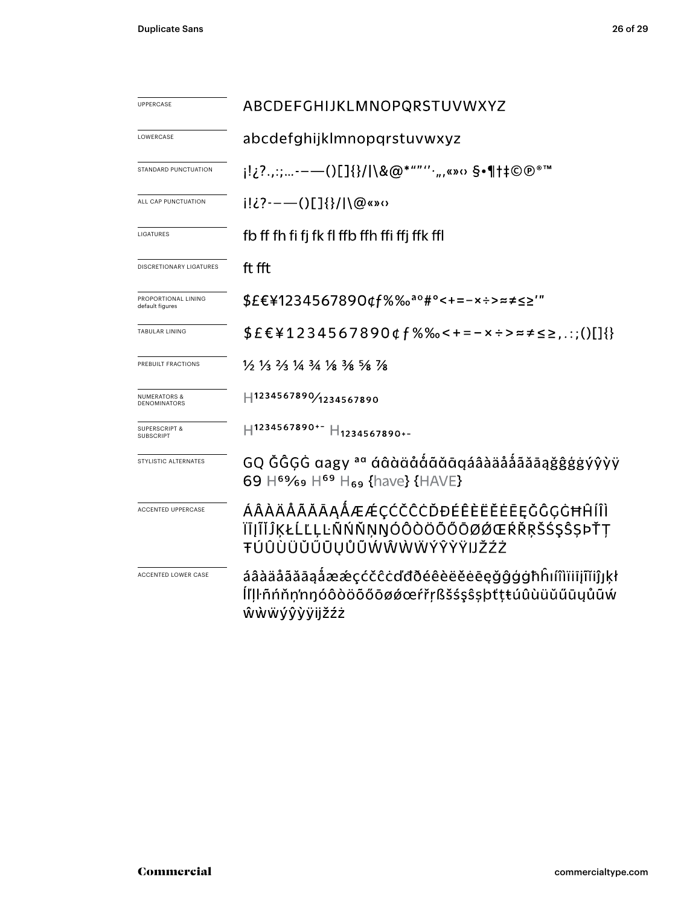| <b>UPPERCASE</b>                             | ABCDEFGHIJKLMNOPQRSTUVWXYZ                                                                                                      |  |  |  |  |
|----------------------------------------------|---------------------------------------------------------------------------------------------------------------------------------|--|--|--|--|
| LOWERCASE                                    | abcdefghijklmnopqrstuvwxyz                                                                                                      |  |  |  |  |
| STANDARD PUNCTUATION                         | j!¿?.,:;-——()[]{}/ \&@*""''',,,«»o §•¶†‡©@®™                                                                                    |  |  |  |  |
| ALL CAP PUNCTUATION                          | $i!i$ ?---()[]{}/ \@«»0                                                                                                         |  |  |  |  |
| LIGATURES                                    | fb ff fh fi fj fk fl ffb ffh ffi ffj ffk ffl                                                                                    |  |  |  |  |
| <b>DISCRETIONARY LIGATURES</b>               | ft fft                                                                                                                          |  |  |  |  |
| PROPORTIONAL LINING<br>default figures       | \$£€¥1234567890¢f%‰ <sup>ao</sup> #°<+=-×÷>≈≠≤≥'"                                                                               |  |  |  |  |
| <b>TABULAR LINING</b>                        | $$EE41234567890$ df%‰<+=-x÷>≈≠≤≥,.:;()[]{}                                                                                      |  |  |  |  |
| PREBUILT FRACTIONS                           | $\frac{1}{2}$ $\frac{1}{3}$ $\frac{2}{3}$ $\frac{1}{4}$ $\frac{3}{4}$ $\frac{1}{8}$ $\frac{3}{8}$ $\frac{5}{8}$ $\frac{7}{8}$   |  |  |  |  |
| <b>NUMERATORS &amp;</b><br>DENOMINATORS      | H1234567890/1234567890                                                                                                          |  |  |  |  |
| <b>SUPERSCRIPT &amp;</b><br><b>SUBSCRIPT</b> | $H$ 1234567890+- $H$ <sub>1234567890+-</sub>                                                                                    |  |  |  |  |
| STYLISTIC ALTERNATES                         | GQ ĞĜGĠ aagy ªª áâàäååããāaäååãåãããąğĝġġýŷỳÿ<br>69 H <sup>69</sup> / <sub>69</sub> H <sup>69</sup> H <sub>69</sub> {have} {HAVE} |  |  |  |  |
| <b>ACCENTED UPPERCASE</b>                    | ÁÂÀÄÅÃĂĀĄÅÆÆÇĆČĈĊĎĐÉÊÈËĔĒĘĞĜĢĠĦĤÍÎÌ<br>ĬĪĮĨĬĴĶŁĹĽĻĿÑŃŇŅŊÓÔÒÖÕŐŌØØŒŔŘŖŠŚŞŜȘÞŤŢ<br>ŦÚÛÙÜŬŰŪŲŮŨŴŴŴŴÝŶŸŸIJŽŹŻ                       |  |  |  |  |
| ACCENTED LOWER CASE                          | áâàäåãăāąåææçćčĉċďđðéêèëĕėēęğĝġġħĥıíîìïiiįĩĭiĵյķł<br>ĺľḷŀñńňņ'nŋóôòöõőōøǿœŕřŗßšśşŝşþťţŧúûùüŭűūųůũẃ<br>ŵẁẅýŷỳÿijžźż              |  |  |  |  |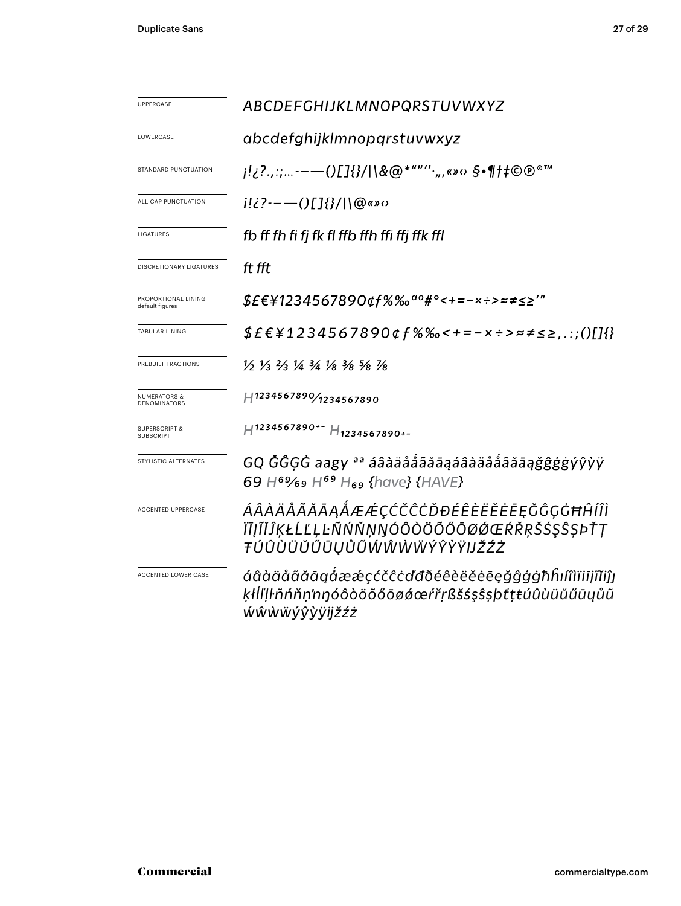| UPPERCASE                                    | ABCDEFGHIJKLMNOPQRSTUVWXYZ                                                                                                       |  |  |  |  |  |
|----------------------------------------------|----------------------------------------------------------------------------------------------------------------------------------|--|--|--|--|--|
| LOWERCASE                                    | abcdefghijklmnopgrstuvwxyz                                                                                                       |  |  |  |  |  |
| STANDARD PUNCTUATION                         | j!¿?.,:;-——()[]{}/ \&@*""''·",«»o §•¶†‡©®®™                                                                                      |  |  |  |  |  |
| ALL CAP PUNCTUATION                          | $i!i$ ?---()[]{}/ \@«»0                                                                                                          |  |  |  |  |  |
| LIGATURES                                    | fb ff fh fi fj fk fl ffb ffh ffi ffj ffk ffl                                                                                     |  |  |  |  |  |
| <b>DISCRETIONARY LIGATURES</b>               | ft fft                                                                                                                           |  |  |  |  |  |
| PROPORTIONAL LINING<br>default figures       | $$EE41234567890$ qf%‰ <sup>ao</sup> #°<+=-×÷>≈≠≤≥'"                                                                              |  |  |  |  |  |
| <b>TABULAR LINING</b>                        | $$E \in 41234567890$ $$f$ %% < + = - x ÷ > = $\neq$ $\leq$ $\geq$ :;()[]{}                                                       |  |  |  |  |  |
| PREBUILT FRACTIONS                           | $\frac{1}{2}$ $\frac{1}{3}$ $\frac{2}{3}$ $\frac{1}{4}$ $\frac{3}{4}$ $\frac{1}{8}$ $\frac{3}{8}$ $\frac{5}{8}$ $\frac{1}{8}$    |  |  |  |  |  |
| <b>NUMERATORS &amp;</b><br>DENOMINATORS      | H1234567890/1234567890                                                                                                           |  |  |  |  |  |
| <b>SUPERSCRIPT &amp;</b><br><b>SUBSCRIPT</b> | $H$ 1234567890+- $H$ 1234567890+-                                                                                                |  |  |  |  |  |
| STYLISTIC ALTERNATES                         | GQ ĞĜGĠ aagy aa áâàäåååãāąáâàäåååãāąǧĝģġýŷỳÿ<br>69 H <sup>69</sup> / <sub>69</sub> H <sup>69</sup> H <sub>69</sub> {have} {HAVE} |  |  |  |  |  |
| <b>ACCENTED UPPERCASE</b>                    | ÁÂÀÄÅÃĂĀĄÅÆÆÇĆČĈĊĎĐÉÊÈËĔĒĘĞĜĢĠĦĤÍÎÌ<br>ĬĪĮĨĬĴĶŁĹĽĻĿÑŃŇŅŊÓÔÒÖÕŐŌØØŒŔŘŖŠŚŞŜȘÞŤŢ<br>ŦÚÛÙÜŬŰŪŲŮŨŴŴŴŴÝŶŸŸIJŽŹŻ                        |  |  |  |  |  |
| ACCENTED LOWER CASE                          | áâàäåãăāąåææçćčĉċďđðéêèëĕėēęǧĝģġħĥıíîìïiījĩĭiĵj<br>ķłĺľļŀñńňṇ'nŋóôòöõőōøǿœŕřṛßšśşŝṣþťṭŧúûùüŭűūųůũ<br>ŴŴŴŴÝŶ <i>ŶŸijžźż</i>       |  |  |  |  |  |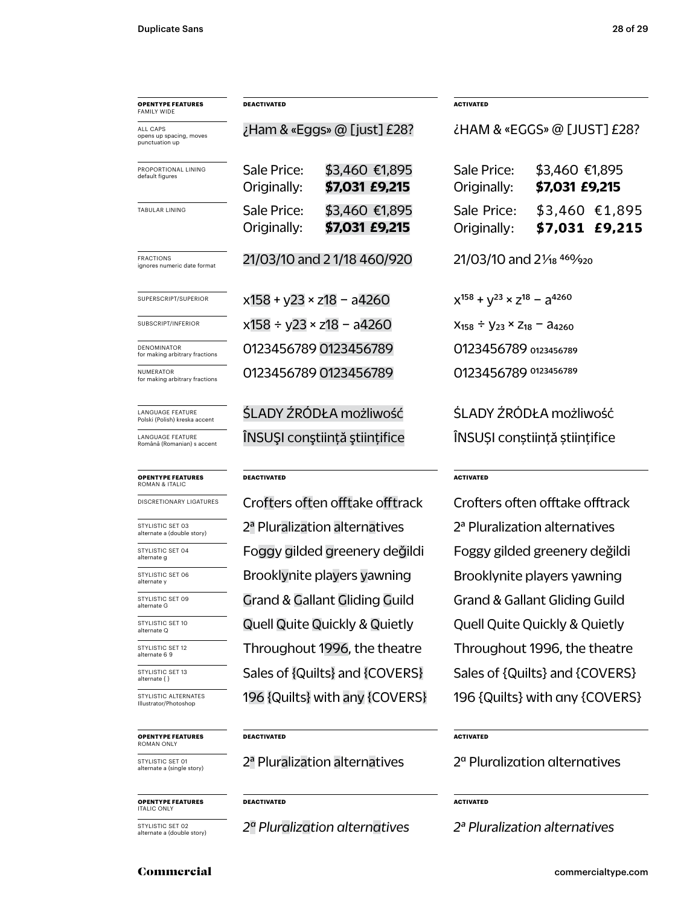| <b>OPENTYPE FEATURES</b><br><b>FAMILY WIDE</b>        | <b>DEACTIVATED</b>                             |                                           | <b>ACTIVATED</b>                                   |                                             |  |
|-------------------------------------------------------|------------------------------------------------|-------------------------------------------|----------------------------------------------------|---------------------------------------------|--|
| ALL CAPS<br>opens up spacing, moves<br>punctuation up |                                                | Ham & «Eggs» @ [just] £28?                | ¿HAM & «EGGS» @ [JUST] £28?                        |                                             |  |
| PROPORTIONAL LINING<br>default figures                | Sale Price:<br>Originally:                     | \$3,460 €1,895<br>\$7,031 £9,215          | Sale Price:<br>Originally:                         | \$3,460 €1,895<br>\$7,031 £9,215            |  |
| TABULAR LINING                                        | Sale Price:<br>Originally:                     | \$3,460 €1,895<br>\$7,031 £9,215          | Sale Price:<br>Originally:                         | $$3,460$ €1,895<br>$$7,031$ £9,215          |  |
| FRACTIONS<br>ignores numeric date format              | 21/03/10 and 2 1/18 460/920                    |                                           | 21/03/10 and 21/ <sub>18</sub> 460/ <sub>920</sub> |                                             |  |
| SUPERSCRIPT/SUPERIOR                                  | $x158 + y23 \times z18 - a4260$                |                                           |                                                    | $x^{158} + y^{23} \times z^{18} - a^{4260}$ |  |
| SUBSCRIPT/INFERIOR                                    |                                                | $x158 \div y23 \times z18 - a4260$        | $X_{158} \div Y_{23} \times Z_{18} - A_{4260}$     |                                             |  |
| DENOMINATOR<br>for making arbitrary fractions         | 0123456789 0123456789                          |                                           | 0123456789 0123456789                              |                                             |  |
| NUMERATOR<br>for making arbitrary fractions           | 0123456789 0123456789<br>0123456789 0123456789 |                                           |                                                    |                                             |  |
| LANGUAGE FEATURE<br>Polski (Polish) kreska accent     |                                                | ŚLADY ŹRÓDŁA możliwość                    | ŚLADY ŹRÓDŁA możliwość                             |                                             |  |
| LANGUAGE FEATURE<br>Română (Romanian) s accent        |                                                | ÎNSUȘI conștiință științifice             | ÎNSUȘI conștiință științifice                      |                                             |  |
| <b>OPENTYPE FEATURES</b><br><b>ROMAN &amp; ITALIC</b> | <b>DEACTIVATED</b>                             |                                           | <b>ACTIVATED</b>                                   |                                             |  |
| DISCRETIONARY LIGATURES                               |                                                | Crofters often offtake offtrack           | Crofters often offtake offtrack                    |                                             |  |
| STYLISTIC SET 03<br>alternate a (double story)        |                                                | 2 <sup>ª</sup> Pluralization alternatives | 2 <sup>ª</sup> Pluralization alternatives          |                                             |  |
| STYLISTIC SET 04<br>alternate g                       | Foggy gilded greenery değildi                  |                                           |                                                    | Foggy gilded greenery değildi               |  |
| STYLISTIC SET 06<br>alternate y                       |                                                | Brooklynite players yawning               | Brooklynite players yawning                        |                                             |  |
| STYLISTIC SET 09<br>alternate G                       |                                                | <b>Grand &amp; Gallant Gliding Guild</b>  | <b>Grand &amp; Gallant Gliding Guild</b>           |                                             |  |
| STYLISTIC SET 10<br>alternate Q                       |                                                | <b>Quell Quite Quickly &amp; Quietly</b>  | Quell Quite Quickly & Quietly                      |                                             |  |
| STYLISTIC SET 12<br>alternate 6 9                     |                                                | Throughout 1996, the theatre              | Throughout 1996, the theatre                       |                                             |  |
| STYLISTIC SET 13<br>alternate { }                     |                                                | Sales of {Quilts} and {COVERS}            | Sales of {Quilts} and {COVERS}                     |                                             |  |
| STYLISTIC ALTERNATES<br>Illustrator/Photoshop         |                                                | 196 {Quilts} with any {COVERS}            | 196 {Quilts} with any {COVERS}                     |                                             |  |
| <b>OPENTYPE FEATURES</b><br>ROMAN ONLY                | DEACTIVATED                                    |                                           | <b>ACTIVATED</b>                                   |                                             |  |
| STYLISTIC SET 01<br>alternate a (single story)        |                                                | 2 <sup>ª</sup> Pluralization alternatives | $2^\alpha$ Pluralization alternatives              |                                             |  |
| <b>OPENTYPE FEATURES</b><br><b>ITALIC ONLY</b>        | DEACTIVATED                                    | <b>ACTIVATED</b>                          |                                                    |                                             |  |

STYLISTIC SET 02 alternate a (double story)

*2ª Pluralization alternatives*

*2ª Pluralization alternatives*